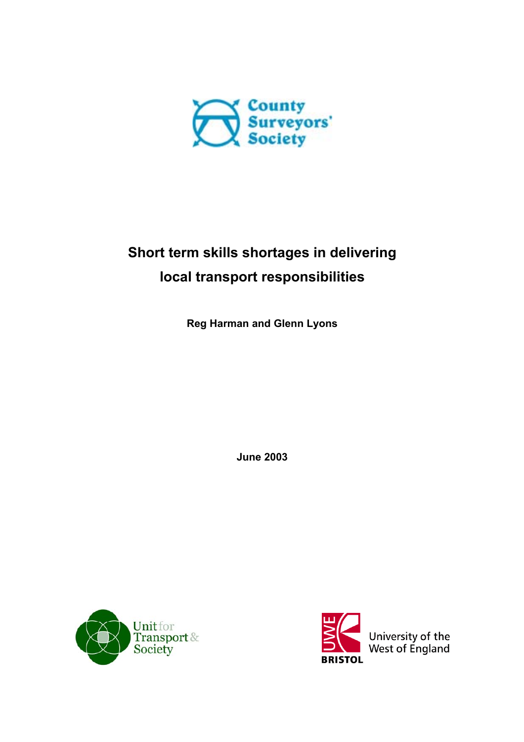

# **Short term skills shortages in delivering local transport responsibilities**

**Reg Harman and Glenn Lyons**

**June 2003**



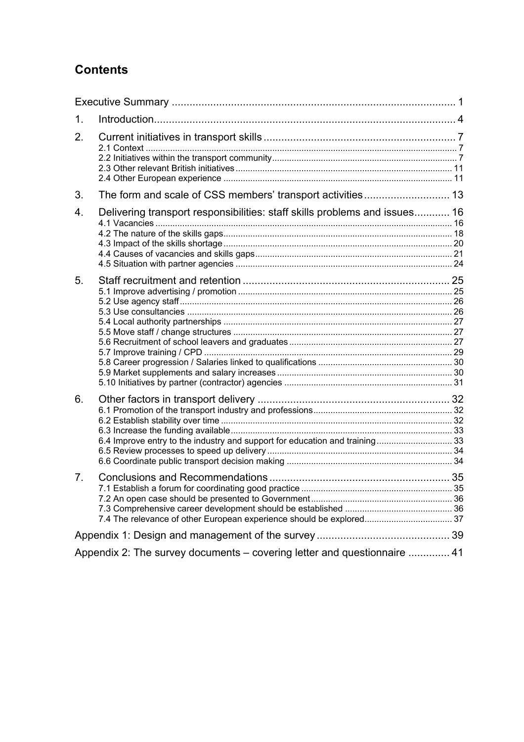# **Contents**

| 1. |                                                                             |  |  |  |
|----|-----------------------------------------------------------------------------|--|--|--|
| 2. |                                                                             |  |  |  |
| 3. | The form and scale of CSS members' transport activities 13                  |  |  |  |
| 4. | Delivering transport responsibilities: staff skills problems and issues 16  |  |  |  |
| 5. |                                                                             |  |  |  |
| 6. | 6.4 Improve entry to the industry and support for education and training 33 |  |  |  |
| 7. | 7.4 The relevance of other European experience should be explored 37        |  |  |  |
|    |                                                                             |  |  |  |
|    | Appendix 2: The survey documents – covering letter and questionnaire  41    |  |  |  |
|    |                                                                             |  |  |  |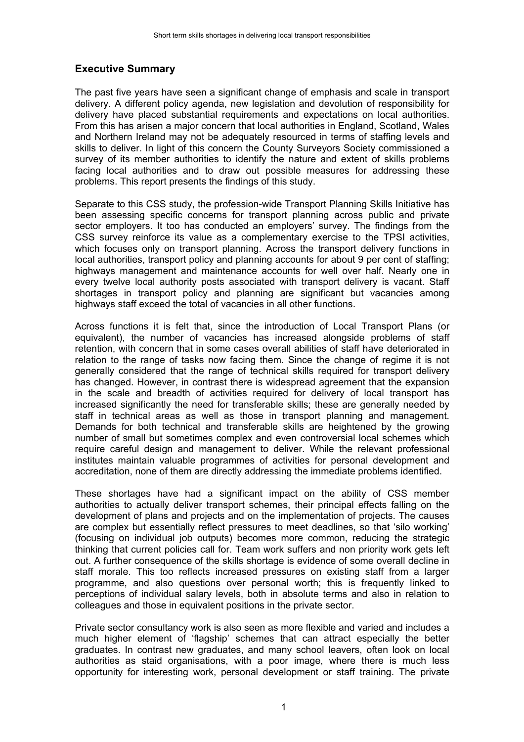# **Executive Summary**

The past five years have seen a significant change of emphasis and scale in transport delivery. A different policy agenda, new legislation and devolution of responsibility for delivery have placed substantial requirements and expectations on local authorities. From this has arisen a major concern that local authorities in England, Scotland, Wales and Northern Ireland may not be adequately resourced in terms of staffing levels and skills to deliver. In light of this concern the County Surveyors Society commissioned a survey of its member authorities to identify the nature and extent of skills problems facing local authorities and to draw out possible measures for addressing these problems. This report presents the findings of this study.

Separate to this CSS study, the profession-wide Transport Planning Skills Initiative has been assessing specific concerns for transport planning across public and private sector employers. It too has conducted an employers' survey. The findings from the CSS survey reinforce its value as a complementary exercise to the TPSI activities, which focuses only on transport planning. Across the transport delivery functions in local authorities, transport policy and planning accounts for about 9 per cent of staffing; highways management and maintenance accounts for well over half. Nearly one in every twelve local authority posts associated with transport delivery is vacant. Staff shortages in transport policy and planning are significant but vacancies among highways staff exceed the total of vacancies in all other functions.

Across functions it is felt that, since the introduction of Local Transport Plans (or equivalent), the number of vacancies has increased alongside problems of staff retention, with concern that in some cases overall abilities of staff have deteriorated in relation to the range of tasks now facing them. Since the change of regime it is not generally considered that the range of technical skills required for transport delivery has changed. However, in contrast there is widespread agreement that the expansion in the scale and breadth of activities required for delivery of local transport has increased significantly the need for transferable skills; these are generally needed by staff in technical areas as well as those in transport planning and management. Demands for both technical and transferable skills are heightened by the growing number of small but sometimes complex and even controversial local schemes which require careful design and management to deliver. While the relevant professional institutes maintain valuable programmes of activities for personal development and accreditation, none of them are directly addressing the immediate problems identified.

These shortages have had a significant impact on the ability of CSS member authorities to actually deliver transport schemes, their principal effects falling on the development of plans and projects and on the implementation of projects. The causes are complex but essentially reflect pressures to meet deadlines, so that 'silo working' (focusing on individual job outputs) becomes more common, reducing the strategic thinking that current policies call for. Team work suffers and non priority work gets left out. A further consequence of the skills shortage is evidence of some overall decline in staff morale. This too reflects increased pressures on existing staff from a larger programme, and also questions over personal worth; this is frequently linked to perceptions of individual salary levels, both in absolute terms and also in relation to colleagues and those in equivalent positions in the private sector.

Private sector consultancy work is also seen as more flexible and varied and includes a much higher element of 'flagship' schemes that can attract especially the better graduates. In contrast new graduates, and many school leavers, often look on local authorities as staid organisations, with a poor image, where there is much less opportunity for interesting work, personal development or staff training. The private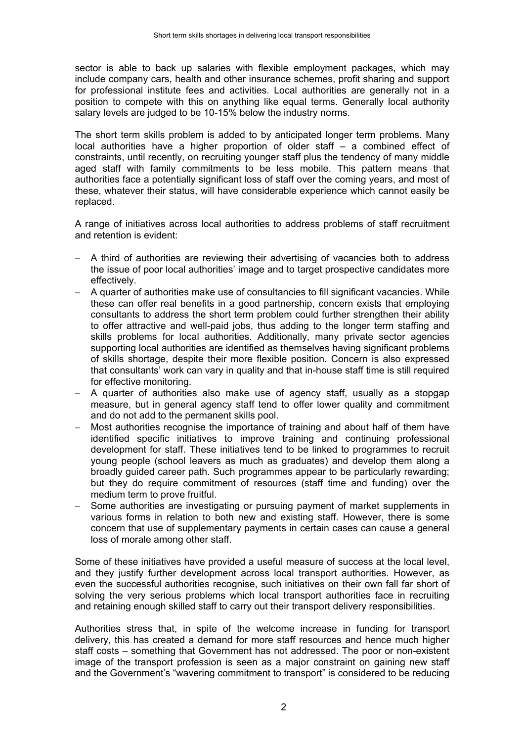sector is able to back up salaries with flexible employment packages, which may include company cars, health and other insurance schemes, profit sharing and support for professional institute fees and activities. Local authorities are generally not in a position to compete with this on anything like equal terms. Generally local authority salary levels are judged to be 10-15% below the industry norms.

The short term skills problem is added to by anticipated longer term problems. Many local authorities have a higher proportion of older staff – a combined effect of constraints, until recently, on recruiting younger staff plus the tendency of many middle aged staff with family commitments to be less mobile. This pattern means that authorities face a potentially significant loss of staff over the coming years, and most of these, whatever their status, will have considerable experience which cannot easily be replaced.

A range of initiatives across local authorities to address problems of staff recruitment and retention is evident:

- − A third of authorities are reviewing their advertising of vacancies both to address the issue of poor local authorities' image and to target prospective candidates more effectively.
- − A quarter of authorities make use of consultancies to fill significant vacancies. While these can offer real benefits in a good partnership, concern exists that employing consultants to address the short term problem could further strengthen their ability to offer attractive and well-paid jobs, thus adding to the longer term staffing and skills problems for local authorities. Additionally, many private sector agencies supporting local authorities are identified as themselves having significant problems of skills shortage, despite their more flexible position. Concern is also expressed that consultants' work can vary in quality and that in-house staff time is still required for effective monitoring.
- − A quarter of authorities also make use of agency staff, usually as a stopgap measure, but in general agency staff tend to offer lower quality and commitment and do not add to the permanent skills pool.
- − Most authorities recognise the importance of training and about half of them have identified specific initiatives to improve training and continuing professional development for staff. These initiatives tend to be linked to programmes to recruit young people (school leavers as much as graduates) and develop them along a broadly guided career path. Such programmes appear to be particularly rewarding; but they do require commitment of resources (staff time and funding) over the medium term to prove fruitful.
- − Some authorities are investigating or pursuing payment of market supplements in various forms in relation to both new and existing staff. However, there is some concern that use of supplementary payments in certain cases can cause a general loss of morale among other staff.

Some of these initiatives have provided a useful measure of success at the local level, and they justify further development across local transport authorities. However, as even the successful authorities recognise, such initiatives on their own fall far short of solving the very serious problems which local transport authorities face in recruiting and retaining enough skilled staff to carry out their transport delivery responsibilities.

Authorities stress that, in spite of the welcome increase in funding for transport delivery, this has created a demand for more staff resources and hence much higher staff costs – something that Government has not addressed. The poor or non-existent image of the transport profession is seen as a major constraint on gaining new staff and the Government's "wavering commitment to transport" is considered to be reducing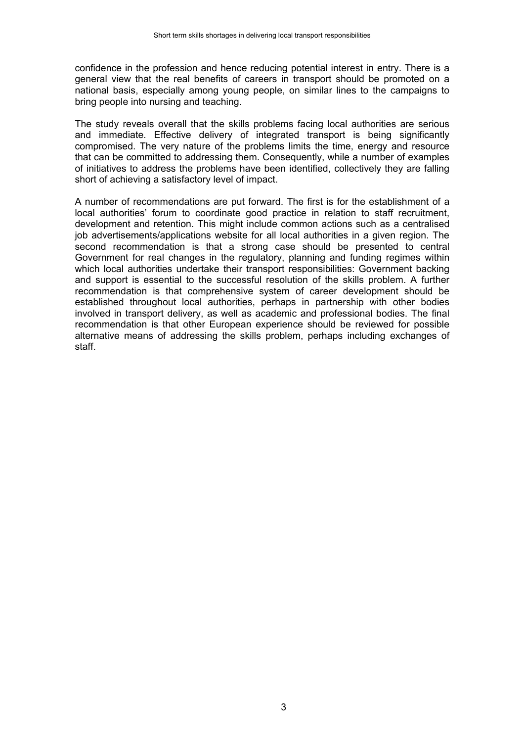confidence in the profession and hence reducing potential interest in entry. There is a general view that the real benefits of careers in transport should be promoted on a national basis, especially among young people, on similar lines to the campaigns to bring people into nursing and teaching.

The study reveals overall that the skills problems facing local authorities are serious and immediate. Effective delivery of integrated transport is being significantly compromised. The very nature of the problems limits the time, energy and resource that can be committed to addressing them. Consequently, while a number of examples of initiatives to address the problems have been identified, collectively they are falling short of achieving a satisfactory level of impact.

A number of recommendations are put forward. The first is for the establishment of a local authorities' forum to coordinate good practice in relation to staff recruitment, development and retention. This might include common actions such as a centralised job advertisements/applications website for all local authorities in a given region. The second recommendation is that a strong case should be presented to central Government for real changes in the regulatory, planning and funding regimes within which local authorities undertake their transport responsibilities: Government backing and support is essential to the successful resolution of the skills problem. A further recommendation is that comprehensive system of career development should be established throughout local authorities, perhaps in partnership with other bodies involved in transport delivery, as well as academic and professional bodies. The final recommendation is that other European experience should be reviewed for possible alternative means of addressing the skills problem, perhaps including exchanges of staff.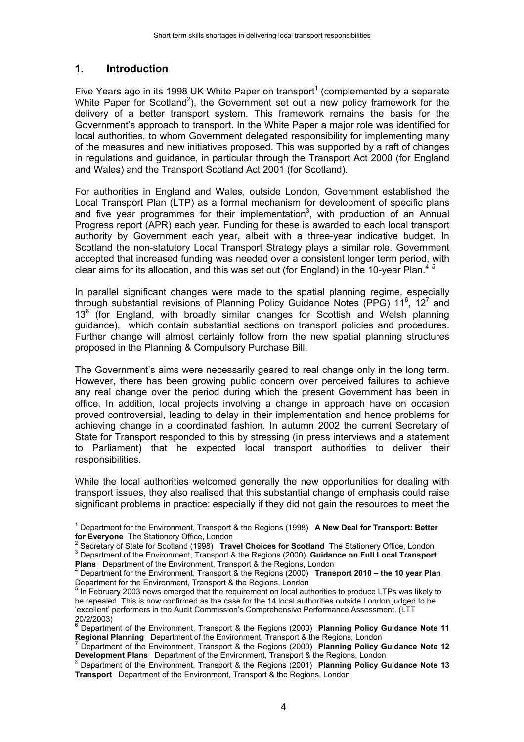# **1. Introduction**

Five Years ago in its 1998 UK White Paper on transport<sup>1</sup> (complemented by a separate White Paper for Scotland<sup>2</sup>), the Government set out a new policy framework for the delivery of a better transport system. This framework remains the basis for the Government's approach to transport. In the White Paper a major role was identified for local authorities, to whom Government delegated responsibility for implementing many of the measures and new initiatives proposed. This was supported by a raft of changes in regulations and guidance, in particular through the Transport Act 2000 (for England and Wales) and the Transport Scotland Act 2001 (for Scotland).

For authorities in England and Wales, outside London, Government established the Local Transport Plan (LTP) as a formal mechanism for development of specific plans and five year programmes for their implementation<sup>3</sup>, with production of an Annual Progress report (APR) each year. Funding for these is awarded to each local transport authority by Government each year, albeit with a three-year indicative budget. In Scotland the non-statutory Local Transport Strategy plays a similar role. Government accepted that increased funding was needed over a consistent longer term period, with clear aims for its allocation, and this was set out (for England) in the 10-year Plan.<sup>45</sup>

In parallel significant changes were made to the spatial planning regime, especially through substantial revisions of Planning Policy Guidance Notes (PPG) 11<sup>6</sup>, 12<sup>7</sup> and 13<sup>8</sup> (for England, with broadly similar changes for Scottish and Welsh planning guidance), which contain substantial sections on transport policies and procedures. Further change will almost certainly follow from the new spatial planning structures proposed in the Planning & Compulsory Purchase Bill.

The Government's aims were necessarily geared to real change only in the long term. However, there has been growing public concern over perceived failures to achieve any real change over the period during which the present Government has been in office. In addition, local projects involving a change in approach have on occasion proved controversial, leading to delay in their implementation and hence problems for achieving change in a coordinated fashion. In autumn 2002 the current Secretary of State for Transport responded to this by stressing (in press interviews and a statement to Parliament) that he expected local transport authorities to deliver their responsibilities.

While the local authorities welcomed generally the new opportunities for dealing with transport issues, they also realised that this substantial change of emphasis could raise significant problems in practice: especially if they did not gain the resources to meet the

**Plans** Department of the Environment, Transport & the Regions, London <sup>4</sup>

 Department for the Environment, Transport & the Regions (2000) **Transport 2010 – the 10 year Plan** Department for the Environment, Transport & the Regions, London

 $\overline{a}$ 1 Department for the Environment, Transport & the Regions (1998) **A New Deal for Transport: Better for Everyone** The Stationery Office, London

Secretary of State for Scotland (1998) **Travel Choices for Scotland** The Stationery Office, London <sup>3</sup> <sup>3</sup> Department of the Environment, Transport & the Regions (2000) **Guidance on Full Local Transport** 

<sup>&</sup>lt;sup>5</sup> In February 2003 news emerged that the requirement on local authorities to produce LTPs was likely to be repealed. This is now confirmed as the case for the 14 local authorities outside London judged to be 'excellent' performers in the Audit Commission's Comprehensive Performance Assessment. (LTT 20/2/2003)

<sup>6</sup> Department of the Environment, Transport & the Regions (2000) **Planning Policy Guidance Note 11 Regional Planning** Department of the Environment, Transport & the Regions, London <sup>7</sup> Department of the Environment, Transport & the Regions (2000) **Planning Policy Guidance Note 12**

**Development Plans** Department of the Environment, Transport & the Regions, London<br><sup>8</sup> Department of the Environment, Transport & the Regions (2001) **Planning Policy Guidance Note 13** 

**Transport** Department of the Environment, Transport & the Regions, London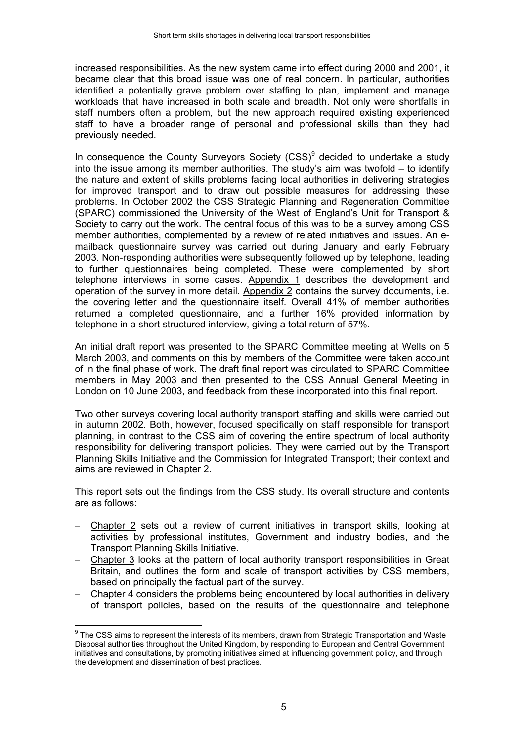increased responsibilities. As the new system came into effect during 2000 and 2001, it became clear that this broad issue was one of real concern. In particular, authorities identified a potentially grave problem over staffing to plan, implement and manage workloads that have increased in both scale and breadth. Not only were shortfalls in staff numbers often a problem, but the new approach required existing experienced staff to have a broader range of personal and professional skills than they had previously needed.

In consequence the County Surveyors Society  $(CSS)^9$  decided to undertake a study into the issue among its member authorities. The study's aim was twofold – to identify the nature and extent of skills problems facing local authorities in delivering strategies for improved transport and to draw out possible measures for addressing these problems. In October 2002 the CSS Strategic Planning and Regeneration Committee (SPARC) commissioned the University of the West of England's Unit for Transport & Society to carry out the work. The central focus of this was to be a survey among CSS member authorities, complemented by a review of related initiatives and issues. An emailback questionnaire survey was carried out during January and early February 2003. Non-responding authorities were subsequently followed up by telephone, leading to further questionnaires being completed. These were complemented by short telephone interviews in some cases. Appendix 1 describes the development and operation of the survey in more detail. Appendix 2 contains the survey documents, i.e. the covering letter and the questionnaire itself. Overall 41% of member authorities returned a completed questionnaire, and a further 16% provided information by telephone in a short structured interview, giving a total return of 57%.

An initial draft report was presented to the SPARC Committee meeting at Wells on 5 March 2003, and comments on this by members of the Committee were taken account of in the final phase of work. The draft final report was circulated to SPARC Committee members in May 2003 and then presented to the CSS Annual General Meeting in London on 10 June 2003, and feedback from these incorporated into this final report.

Two other surveys covering local authority transport staffing and skills were carried out in autumn 2002. Both, however, focused specifically on staff responsible for transport planning, in contrast to the CSS aim of covering the entire spectrum of local authority responsibility for delivering transport policies. They were carried out by the Transport Planning Skills Initiative and the Commission for Integrated Transport; their context and aims are reviewed in Chapter 2.

This report sets out the findings from the CSS study. Its overall structure and contents are as follows:

- − Chapter 2 sets out a review of current initiatives in transport skills, looking at activities by professional institutes, Government and industry bodies, and the Transport Planning Skills Initiative.
- − Chapter 3 looks at the pattern of local authority transport responsibilities in Great Britain, and outlines the form and scale of transport activities by CSS members, based on principally the factual part of the survey.
- Chapter 4 considers the problems being encountered by local authorities in delivery of transport policies, based on the results of the questionnaire and telephone

 $\overline{a}$ 

 $^9$  The CSS aims to represent the interests of its members, drawn from Strategic Transportation and Waste Disposal authorities throughout the United Kingdom, by responding to European and Central Government initiatives and consultations, by promoting initiatives aimed at influencing government policy, and through the development and dissemination of best practices.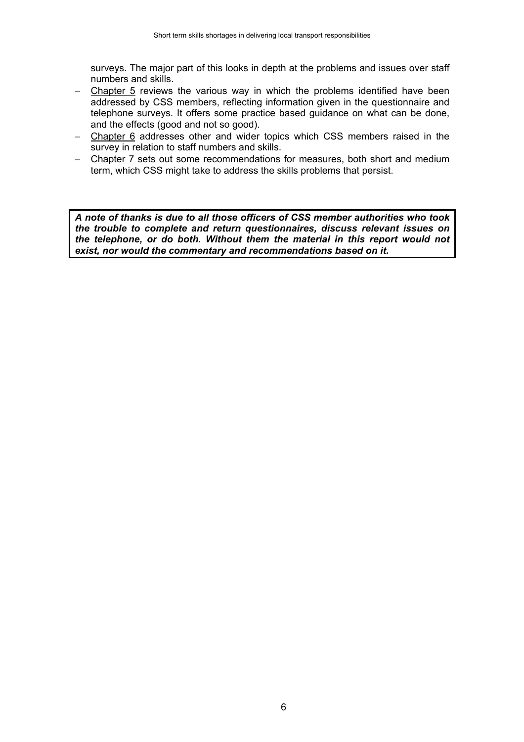surveys. The major part of this looks in depth at the problems and issues over staff numbers and skills.

- − Chapter 5 reviews the various way in which the problems identified have been addressed by CSS members, reflecting information given in the questionnaire and telephone surveys. It offers some practice based guidance on what can be done, and the effects (good and not so good).
- − Chapter 6 addresses other and wider topics which CSS members raised in the survey in relation to staff numbers and skills.
- − Chapter 7 sets out some recommendations for measures, both short and medium term, which CSS might take to address the skills problems that persist.

*A note of thanks is due to all those officers of CSS member authorities who took the trouble to complete and return questionnaires, discuss relevant issues on the telephone, or do both. Without them the material in this report would not exist, nor would the commentary and recommendations based on it.*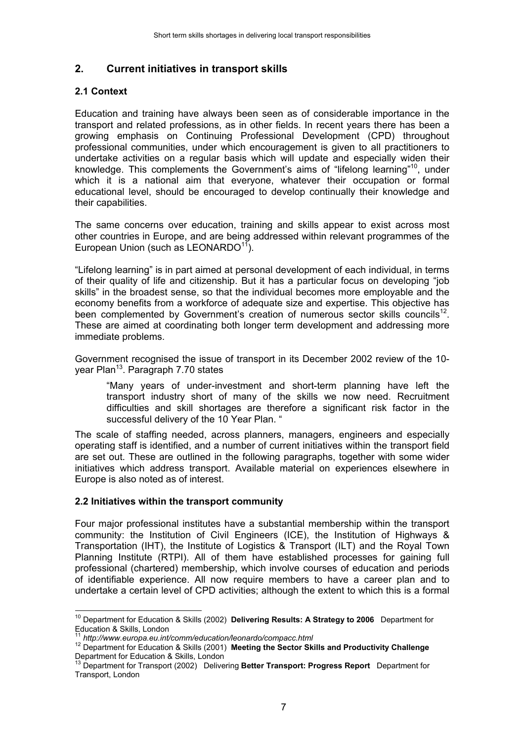# **2. Current initiatives in transport skills**

#### **2.1 Context**

Education and training have always been seen as of considerable importance in the transport and related professions, as in other fields. In recent years there has been a growing emphasis on Continuing Professional Development (CPD) throughout professional communities, under which encouragement is given to all practitioners to undertake activities on a regular basis which will update and especially widen their knowledge. This complements the Government's aims of "lifelong learning"10, under which it is a national aim that everyone, whatever their occupation or formal educational level, should be encouraged to develop continually their knowledge and their capabilities.

The same concerns over education, training and skills appear to exist across most other countries in Europe, and are being addressed within relevant programmes of the European Union (such as LEONARDO $11$ ).

"Lifelong learning" is in part aimed at personal development of each individual, in terms of their quality of life and citizenship. But it has a particular focus on developing "job skills" in the broadest sense, so that the individual becomes more employable and the economy benefits from a workforce of adequate size and expertise. This objective has been complemented by Government's creation of numerous sector skills councils<sup>12</sup>. These are aimed at coordinating both longer term development and addressing more immediate problems.

Government recognised the issue of transport in its December 2002 review of the 10 year Plan<sup>13</sup>. Paragraph 7.70 states

"Many years of under-investment and short-term planning have left the transport industry short of many of the skills we now need. Recruitment difficulties and skill shortages are therefore a significant risk factor in the successful delivery of the 10 Year Plan. "

The scale of staffing needed, across planners, managers, engineers and especially operating staff is identified, and a number of current initiatives within the transport field are set out. These are outlined in the following paragraphs, together with some wider initiatives which address transport. Available material on experiences elsewhere in Europe is also noted as of interest.

#### **2.2 Initiatives within the transport community**

Four major professional institutes have a substantial membership within the transport community: the Institution of Civil Engineers (ICE), the Institution of Highways & Transportation (IHT), the Institute of Logistics & Transport (ILT) and the Royal Town Planning Institute (RTPI). All of them have established processes for gaining full professional (chartered) membership, which involve courses of education and periods of identifiable experience. All now require members to have a career plan and to undertake a certain level of CPD activities; although the extent to which this is a formal

 $\overline{a}$ 

<sup>10</sup> Department for Education & Skills (2002) **Delivering Results: A Strategy to 2006** Department for Education & Skills, London<br><sup>11</sup> http://www.europa.eu.int/comm/education/leonardo/compacc.html

<sup>11</sup> *http://www.europa.eu.int/comm/education/leonardo/compacc.html* 12 Department for Education & Skills (2001) **Meeting the Sector Skills and Productivity Challenge** Department for Education & Skills, London

<sup>13</sup> Department for Transport (2002) Delivering **Better Transport: Progress Report** Department for Transport, London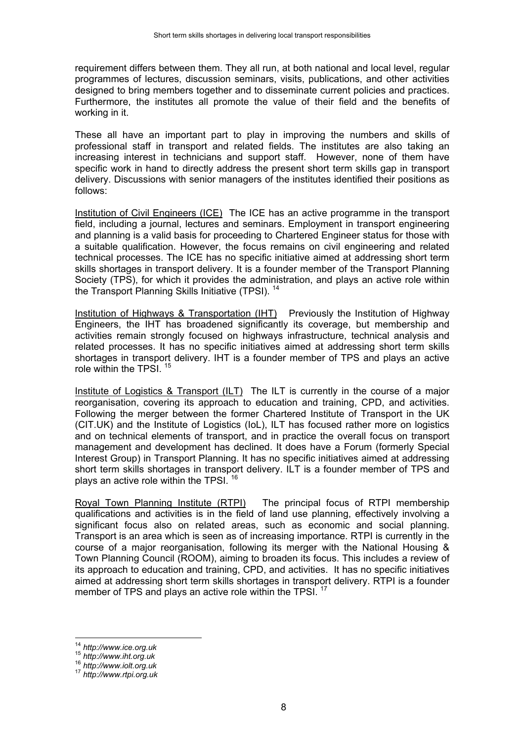requirement differs between them. They all run, at both national and local level, regular programmes of lectures, discussion seminars, visits, publications, and other activities designed to bring members together and to disseminate current policies and practices. Furthermore, the institutes all promote the value of their field and the benefits of working in it.

These all have an important part to play in improving the numbers and skills of professional staff in transport and related fields. The institutes are also taking an increasing interest in technicians and support staff. However, none of them have specific work in hand to directly address the present short term skills gap in transport delivery. Discussions with senior managers of the institutes identified their positions as follows:

Institution of Civil Engineers (ICE) The ICE has an active programme in the transport field, including a journal, lectures and seminars. Employment in transport engineering and planning is a valid basis for proceeding to Chartered Engineer status for those with a suitable qualification. However, the focus remains on civil engineering and related technical processes. The ICE has no specific initiative aimed at addressing short term skills shortages in transport delivery. It is a founder member of the Transport Planning Society (TPS), for which it provides the administration, and plays an active role within the Transport Planning Skills Initiative (TPSI).<sup>14</sup>

Institution of Highways & Transportation (IHT) Previously the Institution of Highway Engineers, the IHT has broadened significantly its coverage, but membership and activities remain strongly focused on highways infrastructure, technical analysis and related processes. It has no specific initiatives aimed at addressing short term skills shortages in transport delivery. IHT is a founder member of TPS and plays an active role within the TPSI.<sup>15</sup>

Institute of Logistics & Transport (ILT) The ILT is currently in the course of a major reorganisation, covering its approach to education and training, CPD, and activities. Following the merger between the former Chartered Institute of Transport in the UK (CIT.UK) and the Institute of Logistics (IoL), ILT has focused rather more on logistics and on technical elements of transport, and in practice the overall focus on transport management and development has declined. It does have a Forum (formerly Special Interest Group) in Transport Planning. It has no specific initiatives aimed at addressing short term skills shortages in transport delivery. ILT is a founder member of TPS and plays an active role within the TPSI.  $16$ 

Royal Town Planning Institute (RTPI) The principal focus of RTPI membership qualifications and activities is in the field of land use planning, effectively involving a significant focus also on related areas, such as economic and social planning. Transport is an area which is seen as of increasing importance. RTPI is currently in the course of a major reorganisation, following its merger with the National Housing & Town Planning Council (ROOM), aiming to broaden its focus. This includes a review of its approach to education and training, CPD, and activities. It has no specific initiatives aimed at addressing short term skills shortages in transport delivery. RTPI is a founder member of TPS and plays an active role within the TPSI.<sup>17</sup>

 $\overline{a}$ 

<sup>14</sup> *http://www.ice.org.uk* <sup>15</sup> *http://www.iht.org.uk* <sup>16</sup> *http://www.iolt.org.uk* <sup>17</sup> *http://www.rtpi.org.uk*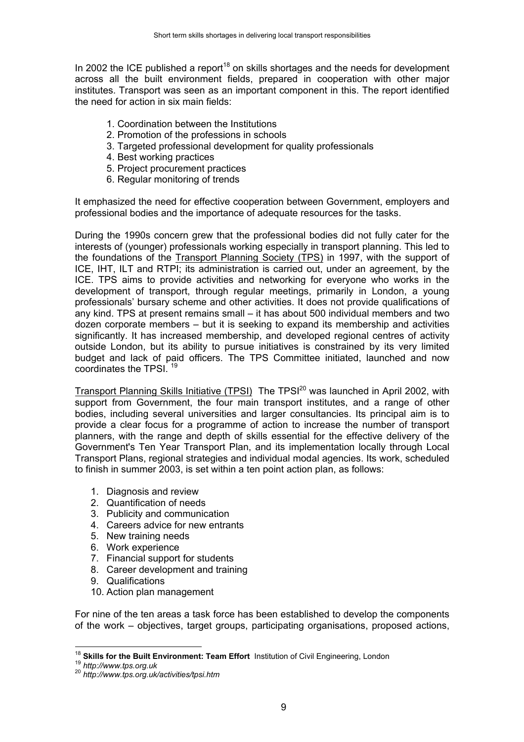In 2002 the ICE published a report<sup>18</sup> on skills shortages and the needs for development across all the built environment fields, prepared in cooperation with other major institutes. Transport was seen as an important component in this. The report identified the need for action in six main fields:

- 1. Coordination between the Institutions
- 2. Promotion of the professions in schools
- 3. Targeted professional development for quality professionals
- 4. Best working practices
- 5. Project procurement practices
- 6. Regular monitoring of trends

It emphasized the need for effective cooperation between Government, employers and professional bodies and the importance of adequate resources for the tasks.

During the 1990s concern grew that the professional bodies did not fully cater for the interests of (younger) professionals working especially in transport planning. This led to the foundations of the Transport Planning Society (TPS) in 1997, with the support of ICE, IHT, ILT and RTPI; its administration is carried out, under an agreement, by the ICE. TPS aims to provide activities and networking for everyone who works in the development of transport, through regular meetings, primarily in London, a young professionals' bursary scheme and other activities. It does not provide qualifications of any kind. TPS at present remains small – it has about 500 individual members and two dozen corporate members – but it is seeking to expand its membership and activities significantly. It has increased membership, and developed regional centres of activity outside London, but its ability to pursue initiatives is constrained by its very limited budget and lack of paid officers. The TPS Committee initiated, launched and now coordinates the TPSI. <sup>19</sup>

Transport Planning Skills Initiative (TPSI) The TPSI<sup>20</sup> was launched in April 2002, with support from Government, the four main transport institutes, and a range of other bodies, including several universities and larger consultancies. Its principal aim is to provide a clear focus for a programme of action to increase the number of transport planners, with the range and depth of skills essential for the effective delivery of the Government's Ten Year Transport Plan, and its implementation locally through Local Transport Plans, regional strategies and individual modal agencies. Its work, scheduled to finish in summer 2003, is set within a ten point action plan, as follows:

- 1. Diagnosis and review
- 2. Quantification of needs
- 3. Publicity and communication
- 4. Careers advice for new entrants
- 5. New training needs
- 6. Work experience
- 7. Financial support for students
- 8. Career development and training
- 9. Qualifications
- 10. Action plan management

For nine of the ten areas a task force has been established to develop the components of the work – objectives, target groups, participating organisations, proposed actions,

 $\overline{1}$ 

<sup>18</sup> **Skills for the Built Environment: Team Effort** Institution of Civil Engineering, London <sup>19</sup> *http://www.tps.org.uk* <sup>20</sup> *http://www.tps.org.uk/activities/tpsi.htm*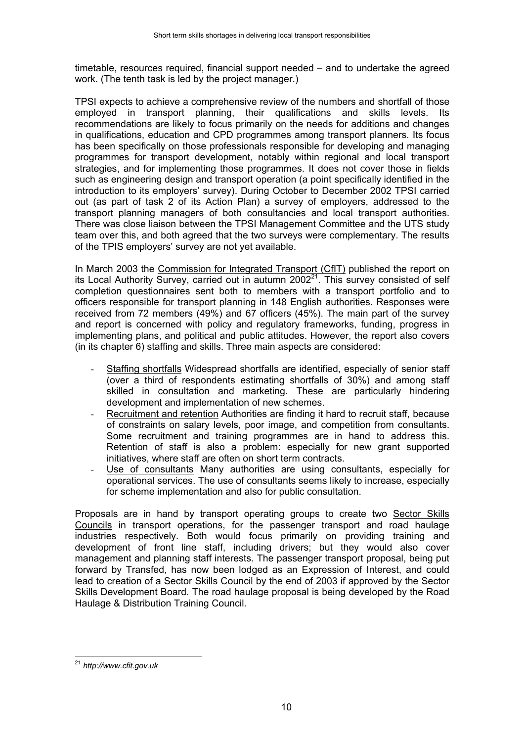timetable, resources required, financial support needed – and to undertake the agreed work. (The tenth task is led by the project manager.)

TPSI expects to achieve a comprehensive review of the numbers and shortfall of those employed in transport planning, their qualifications and skills levels. Its recommendations are likely to focus primarily on the needs for additions and changes in qualifications, education and CPD programmes among transport planners. Its focus has been specifically on those professionals responsible for developing and managing programmes for transport development, notably within regional and local transport strategies, and for implementing those programmes. It does not cover those in fields such as engineering design and transport operation (a point specifically identified in the introduction to its employers' survey). During October to December 2002 TPSI carried out (as part of task 2 of its Action Plan) a survey of employers, addressed to the transport planning managers of both consultancies and local transport authorities. There was close liaison between the TPSI Management Committee and the UTS study team over this, and both agreed that the two surveys were complementary. The results of the TPIS employers' survey are not yet available.

In March 2003 the Commission for Integrated Transport (CfIT) published the report on its Local Authority Survey, carried out in autumn  $2002<sup>21</sup>$ . This survey consisted of self completion questionnaires sent both to members with a transport portfolio and to officers responsible for transport planning in 148 English authorities. Responses were received from 72 members (49%) and 67 officers (45%). The main part of the survey and report is concerned with policy and regulatory frameworks, funding, progress in implementing plans, and political and public attitudes. However, the report also covers (in its chapter 6) staffing and skills. Three main aspects are considered:

- Staffing shortfalls Widespread shortfalls are identified, especially of senior staff (over a third of respondents estimating shortfalls of 30%) and among staff skilled in consultation and marketing. These are particularly hindering development and implementation of new schemes.
- Recruitment and retention Authorities are finding it hard to recruit staff, because of constraints on salary levels, poor image, and competition from consultants. Some recruitment and training programmes are in hand to address this. Retention of staff is also a problem: especially for new grant supported initiatives, where staff are often on short term contracts.
- Use of consultants Many authorities are using consultants, especially for operational services. The use of consultants seems likely to increase, especially for scheme implementation and also for public consultation.

Proposals are in hand by transport operating groups to create two Sector Skills Councils in transport operations, for the passenger transport and road haulage industries respectively. Both would focus primarily on providing training and development of front line staff, including drivers; but they would also cover management and planning staff interests. The passenger transport proposal, being put forward by Transfed, has now been lodged as an Expression of Interest, and could lead to creation of a Sector Skills Council by the end of 2003 if approved by the Sector Skills Development Board. The road haulage proposal is being developed by the Road Haulage & Distribution Training Council.

 $\overline{a}$ <sup>21</sup> *http://www.cfit.gov.uk*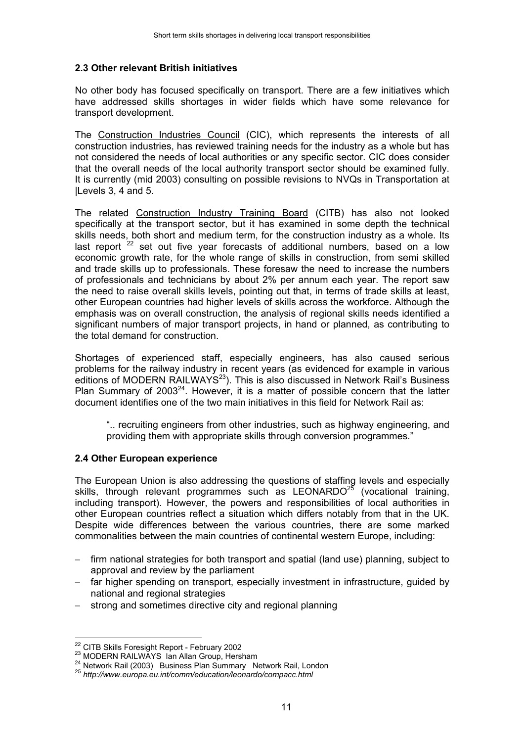#### **2.3 Other relevant British initiatives**

No other body has focused specifically on transport. There are a few initiatives which have addressed skills shortages in wider fields which have some relevance for transport development.

The Construction Industries Council (CIC), which represents the interests of all construction industries, has reviewed training needs for the industry as a whole but has not considered the needs of local authorities or any specific sector. CIC does consider that the overall needs of the local authority transport sector should be examined fully. It is currently (mid 2003) consulting on possible revisions to NVQs in Transportation at |Levels 3, 4 and 5.

The related Construction Industry Training Board (CITB) has also not looked specifically at the transport sector, but it has examined in some depth the technical skills needs, both short and medium term, for the construction industry as a whole. Its last report  $22$  set out five year forecasts of additional numbers, based on a low economic growth rate, for the whole range of skills in construction, from semi skilled and trade skills up to professionals. These foresaw the need to increase the numbers of professionals and technicians by about 2% per annum each year. The report saw the need to raise overall skills levels, pointing out that, in terms of trade skills at least, other European countries had higher levels of skills across the workforce. Although the emphasis was on overall construction, the analysis of regional skills needs identified a significant numbers of major transport projects, in hand or planned, as contributing to the total demand for construction.

Shortages of experienced staff, especially engineers, has also caused serious problems for the railway industry in recent years (as evidenced for example in various editions of MODERN RAILWAYS<sup>23</sup>). This is also discussed in Network Rail's Business Plan Summary of 2003<sup>24</sup>. However, it is a matter of possible concern that the latter document identifies one of the two main initiatives in this field for Network Rail as:

".. recruiting engineers from other industries, such as highway engineering, and providing them with appropriate skills through conversion programmes."

#### **2.4 Other European experience**

The European Union is also addressing the questions of staffing levels and especially skills, through relevant programmes such as  $LEONARDO<sup>25</sup>$  (vocational training, including transport). However, the powers and responsibilities of local authorities in other European countries reflect a situation which differs notably from that in the UK. Despite wide differences between the various countries, there are some marked commonalities between the main countries of continental western Europe, including:

- firm national strategies for both transport and spatial (land use) planning, subject to approval and review by the parliament
- far higher spending on transport, especially investment in infrastructure, guided by national and regional strategies
- − strong and sometimes directive city and regional planning

<sup>&</sup>lt;sup>22</sup> CITB Skills Foresight Report - February 2002

<sup>&</sup>lt;sup>23</sup> MODERN RAILWAYS Ian Allan Group, Hersham<br><sup>24</sup> Network Rail (2003) Business Plan Summary Network Rail, London<br><sup>25</sup> http://www.europa.eu.int/comm/education/leonardo/compacc.html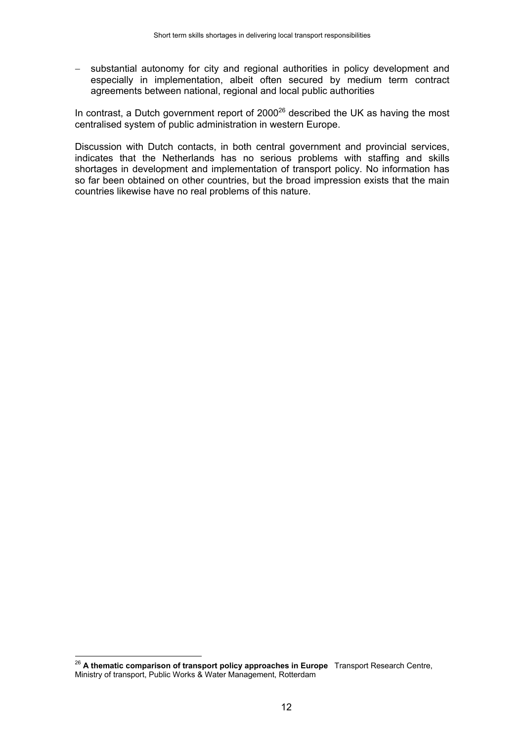substantial autonomy for city and regional authorities in policy development and especially in implementation, albeit often secured by medium term contract agreements between national, regional and local public authorities

In contrast, a Dutch government report of  $2000^{26}$  described the UK as having the most centralised system of public administration in western Europe.

Discussion with Dutch contacts, in both central government and provincial services, indicates that the Netherlands has no serious problems with staffing and skills shortages in development and implementation of transport policy. No information has so far been obtained on other countries, but the broad impression exists that the main countries likewise have no real problems of this nature.

 $\overline{a}$ 

<sup>&</sup>lt;sup>26</sup> A thematic comparison of transport policy approaches in Europe Transport Research Centre, Ministry of transport, Public Works & Water Management, Rotterdam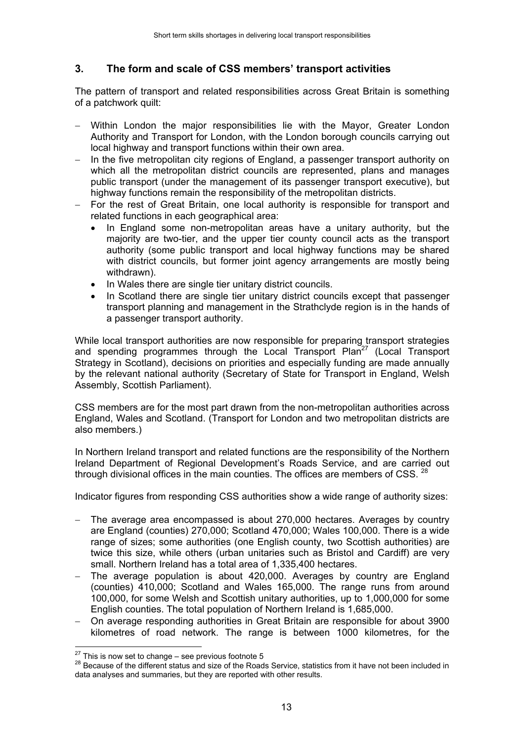# **3. The form and scale of CSS members' transport activities**

The pattern of transport and related responsibilities across Great Britain is something of a patchwork quilt:

- Within London the major responsibilities lie with the Mayor, Greater London Authority and Transport for London, with the London borough councils carrying out local highway and transport functions within their own area.
- − In the five metropolitan city regions of England, a passenger transport authority on which all the metropolitan district councils are represented, plans and manages public transport (under the management of its passenger transport executive), but highway functions remain the responsibility of the metropolitan districts.
- For the rest of Great Britain, one local authority is responsible for transport and related functions in each geographical area:
	- In England some non-metropolitan areas have a unitary authority, but the majority are two-tier, and the upper tier county council acts as the transport authority (some public transport and local highway functions may be shared with district councils, but former joint agency arrangements are mostly being withdrawn).
	- In Wales there are single tier unitary district councils.
	- In Scotland there are single tier unitary district councils except that passenger transport planning and management in the Strathclyde region is in the hands of a passenger transport authority.

While local transport authorities are now responsible for preparing transport strategies and spending programmes through the Local Transport Plan<sup>27</sup> (Local Transport Strategy in Scotland), decisions on priorities and especially funding are made annually by the relevant national authority (Secretary of State for Transport in England, Welsh Assembly, Scottish Parliament).

CSS members are for the most part drawn from the non-metropolitan authorities across England, Wales and Scotland. (Transport for London and two metropolitan districts are also members.)

In Northern Ireland transport and related functions are the responsibility of the Northern Ireland Department of Regional Development's Roads Service, and are carried out through divisional offices in the main counties. The offices are members of CSS.  $^{28}$ 

Indicator figures from responding CSS authorities show a wide range of authority sizes:

- The average area encompassed is about 270,000 hectares. Averages by country are England (counties) 270,000; Scotland 470,000; Wales 100,000. There is a wide range of sizes; some authorities (one English county, two Scottish authorities) are twice this size, while others (urban unitaries such as Bristol and Cardiff) are very small. Northern Ireland has a total area of 1,335,400 hectares.
- The average population is about 420,000. Averages by country are England (counties) 410,000; Scotland and Wales 165,000. The range runs from around 100,000, for some Welsh and Scottish unitary authorities, up to 1,000,000 for some English counties. The total population of Northern Ireland is 1,685,000.
- − On average responding authorities in Great Britain are responsible for about 3900 kilometres of road network. The range is between 1000 kilometres, for the

 $27$  This is now set to change – see previous footnote 5

<sup>&</sup>lt;sup>28</sup> Because of the different status and size of the Roads Service, statistics from it have not been included in data analyses and summaries, but they are reported with other results.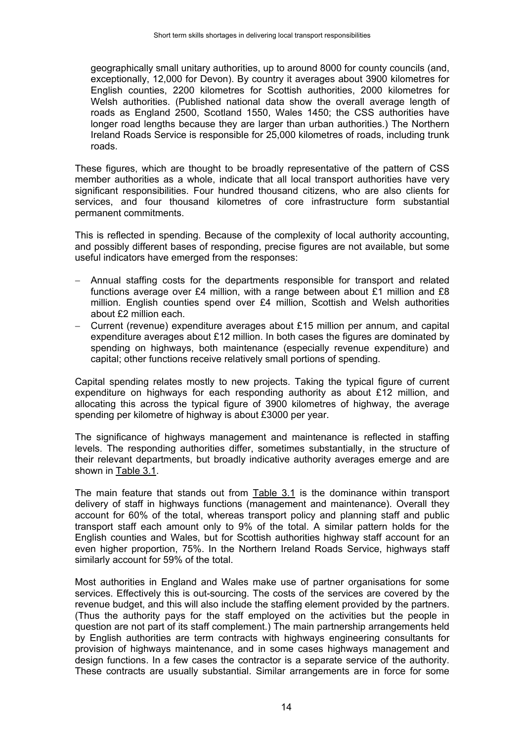geographically small unitary authorities, up to around 8000 for county councils (and, exceptionally, 12,000 for Devon). By country it averages about 3900 kilometres for English counties, 2200 kilometres for Scottish authorities, 2000 kilometres for Welsh authorities. (Published national data show the overall average length of roads as England 2500, Scotland 1550, Wales 1450; the CSS authorities have longer road lengths because they are larger than urban authorities.) The Northern Ireland Roads Service is responsible for 25,000 kilometres of roads, including trunk roads.

These figures, which are thought to be broadly representative of the pattern of CSS member authorities as a whole, indicate that all local transport authorities have very significant responsibilities. Four hundred thousand citizens, who are also clients for services, and four thousand kilometres of core infrastructure form substantial permanent commitments.

This is reflected in spending. Because of the complexity of local authority accounting, and possibly different bases of responding, precise figures are not available, but some useful indicators have emerged from the responses:

- − Annual staffing costs for the departments responsible for transport and related functions average over £4 million, with a range between about £1 million and £8 million. English counties spend over £4 million, Scottish and Welsh authorities about £2 million each.
- − Current (revenue) expenditure averages about £15 million per annum, and capital expenditure averages about £12 million. In both cases the figures are dominated by spending on highways, both maintenance (especially revenue expenditure) and capital; other functions receive relatively small portions of spending.

Capital spending relates mostly to new projects. Taking the typical figure of current expenditure on highways for each responding authority as about £12 million, and allocating this across the typical figure of 3900 kilometres of highway, the average spending per kilometre of highway is about £3000 per year.

The significance of highways management and maintenance is reflected in staffing levels. The responding authorities differ, sometimes substantially, in the structure of their relevant departments, but broadly indicative authority averages emerge and are shown in Table 3.1.

The main feature that stands out from Table 3.1 is the dominance within transport delivery of staff in highways functions (management and maintenance). Overall they account for 60% of the total, whereas transport policy and planning staff and public transport staff each amount only to 9% of the total. A similar pattern holds for the English counties and Wales, but for Scottish authorities highway staff account for an even higher proportion, 75%. In the Northern Ireland Roads Service, highways staff similarly account for 59% of the total.

Most authorities in England and Wales make use of partner organisations for some services. Effectively this is out-sourcing. The costs of the services are covered by the revenue budget, and this will also include the staffing element provided by the partners. (Thus the authority pays for the staff employed on the activities but the people in question are not part of its staff complement.) The main partnership arrangements held by English authorities are term contracts with highways engineering consultants for provision of highways maintenance, and in some cases highways management and design functions. In a few cases the contractor is a separate service of the authority. These contracts are usually substantial. Similar arrangements are in force for some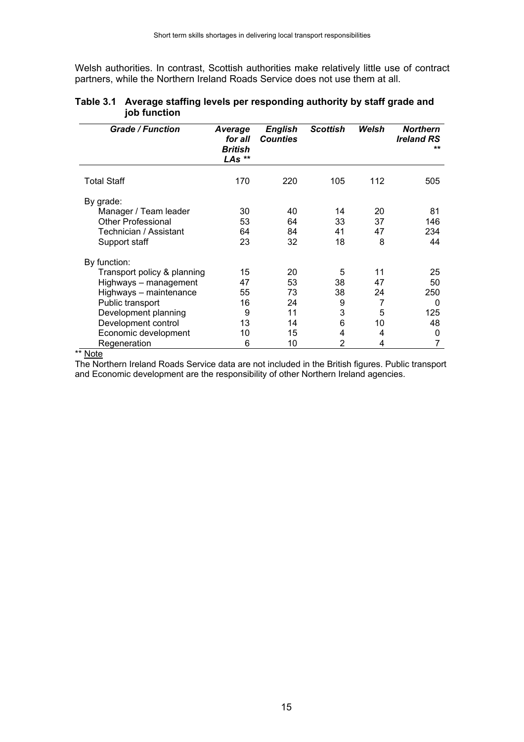Welsh authorities. In contrast, Scottish authorities make relatively little use of contract partners, while the Northern Ireland Roads Service does not use them at all.

| <b>Grade / Function</b>     | Average<br>for all<br><b>British</b><br>LAs ** | <b>English</b><br><b>Counties</b> | <b>Scottish</b> | Welsh | <b>Northern</b><br><b>Ireland RS</b><br>** |
|-----------------------------|------------------------------------------------|-----------------------------------|-----------------|-------|--------------------------------------------|
| <b>Total Staff</b>          | 170                                            | 220                               | 105             | 112   | 505                                        |
| By grade:                   |                                                |                                   |                 |       |                                            |
| Manager / Team leader       | 30                                             | 40                                | 14              | 20    | 81                                         |
| <b>Other Professional</b>   | 53                                             | 64                                | 33              | 37    | 146                                        |
| Technician / Assistant      | 64                                             | 84                                | 41              | 47    | 234                                        |
| Support staff               | 23                                             | 32                                | 18              | 8     | 44                                         |
| By function:                |                                                |                                   |                 |       |                                            |
| Transport policy & planning | 15                                             | 20                                | 5               | 11    | 25                                         |
| Highways - management       | 47                                             | 53                                | 38              | 47    | 50                                         |
| Highways - maintenance      | 55                                             | 73                                | 38              | 24    | 250                                        |
| Public transport            | 16                                             | 24                                | 9               | 7     | 0                                          |
| Development planning        | 9                                              | 11                                | 3               | 5     | 125                                        |
| Development control         | 13                                             | 14                                | 6               | 10    | 48                                         |
| Economic development        | 10                                             | 15                                | 4               | 4     | 0                                          |
| Regeneration                | 6                                              | 10                                | $\overline{2}$  | 4     |                                            |

#### **Table 3.1 Average staffing levels per responding authority by staff grade and job function**

\*\* Note

The Northern Ireland Roads Service data are not included in the British figures. Public transport and Economic development are the responsibility of other Northern Ireland agencies.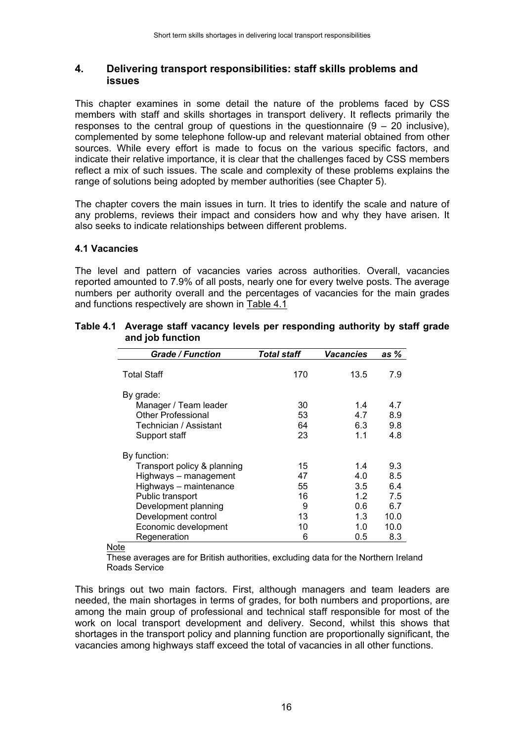#### **4. Delivering transport responsibilities: staff skills problems and issues**

This chapter examines in some detail the nature of the problems faced by CSS members with staff and skills shortages in transport delivery. It reflects primarily the responses to the central group of questions in the questionnaire  $(9 - 20)$  inclusive), complemented by some telephone follow-up and relevant material obtained from other sources. While every effort is made to focus on the various specific factors, and indicate their relative importance, it is clear that the challenges faced by CSS members reflect a mix of such issues. The scale and complexity of these problems explains the range of solutions being adopted by member authorities (see Chapter 5).

The chapter covers the main issues in turn. It tries to identify the scale and nature of any problems, reviews their impact and considers how and why they have arisen. It also seeks to indicate relationships between different problems.

#### **4.1 Vacancies**

The level and pattern of vacancies varies across authorities. Overall, vacancies reported amounted to 7.9% of all posts, nearly one for every twelve posts. The average numbers per authority overall and the percentages of vacancies for the main grades and functions respectively are shown in Table 4.1

| <b>Grade / Function</b>                                                                                    | Total staff              | Vacancies                       | as %                              |
|------------------------------------------------------------------------------------------------------------|--------------------------|---------------------------------|-----------------------------------|
| <b>Total Staff</b>                                                                                         | 170                      | 13.5                            | 7.9                               |
| By grade:<br>Manager / Team leader<br><b>Other Professional</b><br>Technician / Assistant<br>Support staff | 30<br>53<br>64<br>23     | 1.4<br>4.7<br>6.3<br>1.1        | 4.7<br>8.9<br>9.8<br>4.8          |
| By function:<br>Transport policy & planning<br>Highways - management<br>Highways - maintenance             | 15<br>47<br>55           | 1.4<br>4.0<br>3.5               | 9.3<br>8.5<br>6.4                 |
| Public transport<br>Development planning<br>Development control<br>Economic development<br>Regeneration    | 16<br>9<br>13<br>10<br>6 | 1.2<br>0.6<br>1.3<br>1.0<br>0.5 | 7.5<br>6.7<br>10.0<br>10.0<br>8.3 |

#### **Table 4.1 Average staff vacancy levels per responding authority by staff grade and job function**

**Note** 

These averages are for British authorities, excluding data for the Northern Ireland Roads Service

This brings out two main factors. First, although managers and team leaders are needed, the main shortages in terms of grades, for both numbers and proportions, are among the main group of professional and technical staff responsible for most of the work on local transport development and delivery. Second, whilst this shows that shortages in the transport policy and planning function are proportionally significant, the vacancies among highways staff exceed the total of vacancies in all other functions.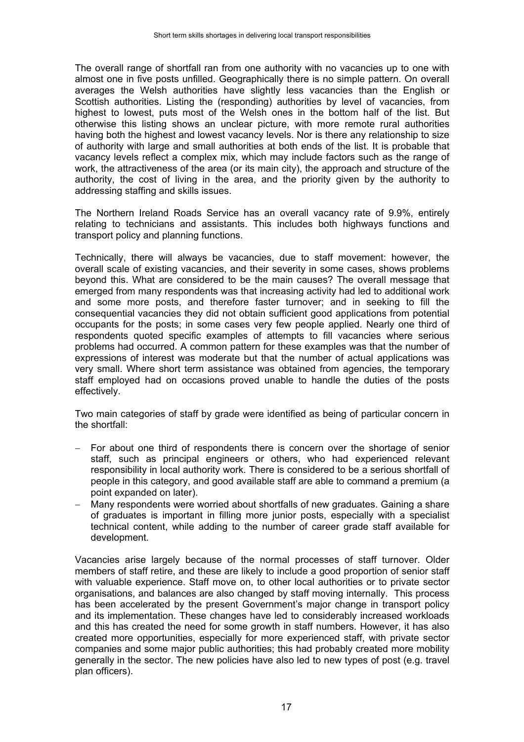The overall range of shortfall ran from one authority with no vacancies up to one with almost one in five posts unfilled. Geographically there is no simple pattern. On overall averages the Welsh authorities have slightly less vacancies than the English or Scottish authorities. Listing the (responding) authorities by level of vacancies, from highest to lowest, puts most of the Welsh ones in the bottom half of the list. But otherwise this listing shows an unclear picture, with more remote rural authorities having both the highest and lowest vacancy levels. Nor is there any relationship to size of authority with large and small authorities at both ends of the list. It is probable that vacancy levels reflect a complex mix, which may include factors such as the range of work, the attractiveness of the area (or its main city), the approach and structure of the authority, the cost of living in the area, and the priority given by the authority to addressing staffing and skills issues.

The Northern Ireland Roads Service has an overall vacancy rate of 9.9%, entirely relating to technicians and assistants. This includes both highways functions and transport policy and planning functions.

Technically, there will always be vacancies, due to staff movement: however, the overall scale of existing vacancies, and their severity in some cases, shows problems beyond this. What are considered to be the main causes? The overall message that emerged from many respondents was that increasing activity had led to additional work and some more posts, and therefore faster turnover; and in seeking to fill the consequential vacancies they did not obtain sufficient good applications from potential occupants for the posts; in some cases very few people applied. Nearly one third of respondents quoted specific examples of attempts to fill vacancies where serious problems had occurred. A common pattern for these examples was that the number of expressions of interest was moderate but that the number of actual applications was very small. Where short term assistance was obtained from agencies, the temporary staff employed had on occasions proved unable to handle the duties of the posts effectively.

Two main categories of staff by grade were identified as being of particular concern in the shortfall:

- − For about one third of respondents there is concern over the shortage of senior staff, such as principal engineers or others, who had experienced relevant responsibility in local authority work. There is considered to be a serious shortfall of people in this category, and good available staff are able to command a premium (a point expanded on later).
- − Many respondents were worried about shortfalls of new graduates. Gaining a share of graduates is important in filling more junior posts, especially with a specialist technical content, while adding to the number of career grade staff available for development.

Vacancies arise largely because of the normal processes of staff turnover. Older members of staff retire, and these are likely to include a good proportion of senior staff with valuable experience. Staff move on, to other local authorities or to private sector organisations, and balances are also changed by staff moving internally. This process has been accelerated by the present Government's major change in transport policy and its implementation. These changes have led to considerably increased workloads and this has created the need for some growth in staff numbers. However, it has also created more opportunities, especially for more experienced staff, with private sector companies and some major public authorities; this had probably created more mobility generally in the sector. The new policies have also led to new types of post (e.g. travel plan officers).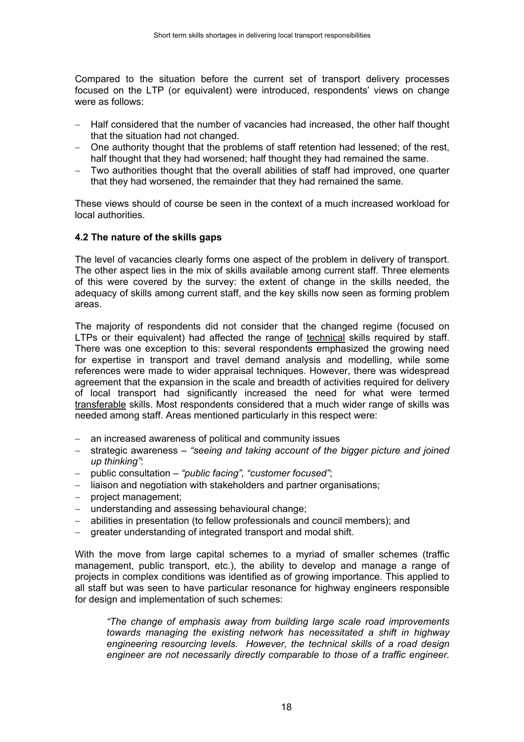Compared to the situation before the current set of transport delivery processes focused on the LTP (or equivalent) were introduced, respondents' views on change were as follows:

- Half considered that the number of vacancies had increased, the other half thought that the situation had not changed.
- − One authority thought that the problems of staff retention had lessened; of the rest, half thought that they had worsened; half thought they had remained the same.
- − Two authorities thought that the overall abilities of staff had improved, one quarter that they had worsened, the remainder that they had remained the same.

These views should of course be seen in the context of a much increased workload for local authorities.

#### **4.2 The nature of the skills gaps**

The level of vacancies clearly forms one aspect of the problem in delivery of transport. The other aspect lies in the mix of skills available among current staff. Three elements of this were covered by the survey: the extent of change in the skills needed, the adequacy of skills among current staff, and the key skills now seen as forming problem areas.

The majority of respondents did not consider that the changed regime (focused on LTPs or their equivalent) had affected the range of technical skills required by staff. There was one exception to this: several respondents emphasized the growing need for expertise in transport and travel demand analysis and modelling, while some references were made to wider appraisal techniques. However, there was widespread agreement that the expansion in the scale and breadth of activities required for delivery of local transport had significantly increased the need for what were termed transferable skills. Most respondents considered that a much wider range of skills was needed among staff. Areas mentioned particularly in this respect were:

- an increased awareness of political and community issues
- − strategic awareness *"seeing and taking account of the bigger picture and joined up thinking"*:
- − public consultation *"public facing", "customer focused"*;
- − liaison and negotiation with stakeholders and partner organisations;
- − project management;
- − understanding and assessing behavioural change;
- − abilities in presentation (to fellow professionals and council members); and
- greater understanding of integrated transport and modal shift.

With the move from large capital schemes to a myriad of smaller schemes (traffic management, public transport, etc.), the ability to develop and manage a range of projects in complex conditions was identified as of growing importance. This applied to all staff but was seen to have particular resonance for highway engineers responsible for design and implementation of such schemes:

*"The change of emphasis away from building large scale road improvements towards managing the existing network has necessitated a shift in highway engineering resourcing levels. However, the technical skills of a road design engineer are not necessarily directly comparable to those of a traffic engineer.*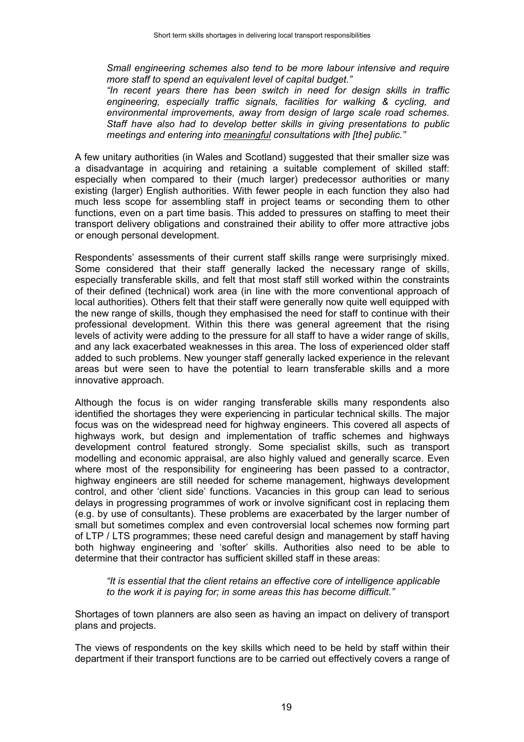*Small engineering schemes also tend to be more labour intensive and require more staff to spend an equivalent level of capital budget."*

*"In recent years there has been switch in need for design skills in traffic engineering, especially traffic signals, facilities for walking & cycling, and environmental improvements, away from design of large scale road schemes. Staff have also had to develop better skills in giving presentations to public meetings and entering into meaningful consultations with [the] public."*

A few unitary authorities (in Wales and Scotland) suggested that their smaller size was a disadvantage in acquiring and retaining a suitable complement of skilled staff: especially when compared to their (much larger) predecessor authorities or many existing (larger) English authorities. With fewer people in each function they also had much less scope for assembling staff in project teams or seconding them to other functions, even on a part time basis. This added to pressures on staffing to meet their transport delivery obligations and constrained their ability to offer more attractive jobs or enough personal development.

Respondents' assessments of their current staff skills range were surprisingly mixed. Some considered that their staff generally lacked the necessary range of skills, especially transferable skills, and felt that most staff still worked within the constraints of their defined (technical) work area (in line with the more conventional approach of local authorities). Others felt that their staff were generally now quite well equipped with the new range of skills, though they emphasised the need for staff to continue with their professional development. Within this there was general agreement that the rising levels of activity were adding to the pressure for all staff to have a wider range of skills, and any lack exacerbated weaknesses in this area. The loss of experienced older staff added to such problems. New younger staff generally lacked experience in the relevant areas but were seen to have the potential to learn transferable skills and a more innovative approach.

Although the focus is on wider ranging transferable skills many respondents also identified the shortages they were experiencing in particular technical skills. The major focus was on the widespread need for highway engineers. This covered all aspects of highways work, but design and implementation of traffic schemes and highways development control featured strongly. Some specialist skills, such as transport modelling and economic appraisal, are also highly valued and generally scarce. Even where most of the responsibility for engineering has been passed to a contractor, highway engineers are still needed for scheme management, highways development control, and other 'client side' functions. Vacancies in this group can lead to serious delays in progressing programmes of work or involve significant cost in replacing them (e.g. by use of consultants). These problems are exacerbated by the larger number of small but sometimes complex and even controversial local schemes now forming part of LTP / LTS programmes; these need careful design and management by staff having both highway engineering and 'softer' skills. Authorities also need to be able to determine that their contractor has sufficient skilled staff in these areas:

*"It is essential that the client retains an effective core of intelligence applicable to the work it is paying for; in some areas this has become difficult."*

Shortages of town planners are also seen as having an impact on delivery of transport plans and projects.

The views of respondents on the key skills which need to be held by staff within their department if their transport functions are to be carried out effectively covers a range of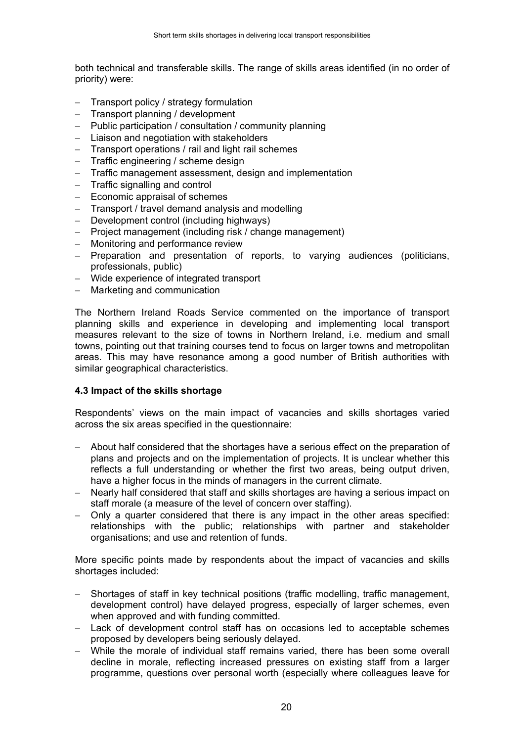both technical and transferable skills. The range of skills areas identified (in no order of priority) were:

- − Transport policy / strategy formulation
- − Transport planning / development
- − Public participation / consultation / community planning
- − Liaison and negotiation with stakeholders
- − Transport operations / rail and light rail schemes
- − Traffic engineering / scheme design
- Traffic management assessment, design and implementation
- − Traffic signalling and control
- − Economic appraisal of schemes
- − Transport / travel demand analysis and modelling
- − Development control (including highways)
- − Project management (including risk / change management)
- − Monitoring and performance review
- − Preparation and presentation of reports, to varying audiences (politicians, professionals, public)
- − Wide experience of integrated transport
- − Marketing and communication

The Northern Ireland Roads Service commented on the importance of transport planning skills and experience in developing and implementing local transport measures relevant to the size of towns in Northern Ireland, i.e. medium and small towns, pointing out that training courses tend to focus on larger towns and metropolitan areas. This may have resonance among a good number of British authorities with similar geographical characteristics.

#### **4.3 Impact of the skills shortage**

Respondents' views on the main impact of vacancies and skills shortages varied across the six areas specified in the questionnaire:

- − About half considered that the shortages have a serious effect on the preparation of plans and projects and on the implementation of projects. It is unclear whether this reflects a full understanding or whether the first two areas, being output driven, have a higher focus in the minds of managers in the current climate.
- − Nearly half considered that staff and skills shortages are having a serious impact on staff morale (a measure of the level of concern over staffing).
- − Only a quarter considered that there is any impact in the other areas specified: relationships with the public; relationships with partner and stakeholder organisations; and use and retention of funds.

More specific points made by respondents about the impact of vacancies and skills shortages included:

- − Shortages of staff in key technical positions (traffic modelling, traffic management, development control) have delayed progress, especially of larger schemes, even when approved and with funding committed.
- − Lack of development control staff has on occasions led to acceptable schemes proposed by developers being seriously delayed.
- − While the morale of individual staff remains varied, there has been some overall decline in morale, reflecting increased pressures on existing staff from a larger programme, questions over personal worth (especially where colleagues leave for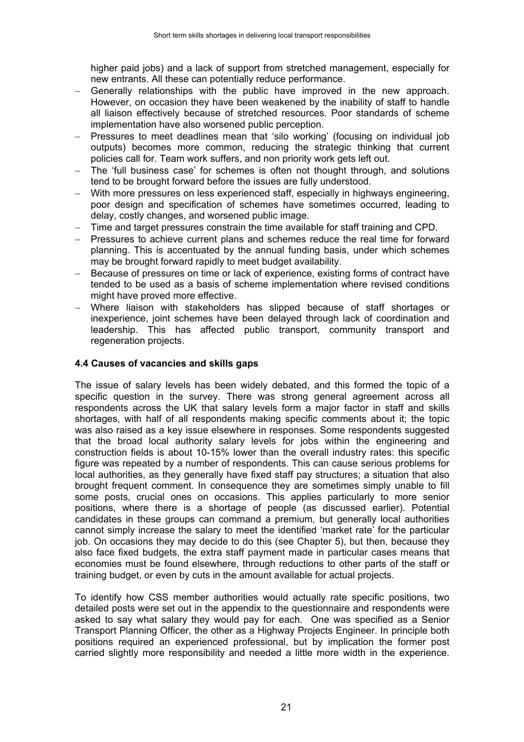higher paid jobs) and a lack of support from stretched management, especially for new entrants. All these can potentially reduce performance.

- − Generally relationships with the public have improved in the new approach. However, on occasion they have been weakened by the inability of staff to handle all liaison effectively because of stretched resources. Poor standards of scheme implementation have also worsened public perception.
- − Pressures to meet deadlines mean that 'silo working' (focusing on individual job outputs) becomes more common, reducing the strategic thinking that current policies call for. Team work suffers, and non priority work gets left out.
- The 'full business case' for schemes is often not thought through, and solutions tend to be brought forward before the issues are fully understood.
- With more pressures on less experienced staff, especially in highways engineering, poor design and specification of schemes have sometimes occurred, leading to delay, costly changes, and worsened public image.
- − Time and target pressures constrain the time available for staff training and CPD.
- − Pressures to achieve current plans and schemes reduce the real time for forward planning. This is accentuated by the annual funding basis, under which schemes may be brought forward rapidly to meet budget availability.
- − Because of pressures on time or lack of experience, existing forms of contract have tended to be used as a basis of scheme implementation where revised conditions might have proved more effective.
- Where liaison with stakeholders has slipped because of staff shortages or inexperience, joint schemes have been delayed through lack of coordination and leadership. This has affected public transport, community transport and regeneration projects.

#### **4.4 Causes of vacancies and skills gaps**

The issue of salary levels has been widely debated, and this formed the topic of a specific question in the survey. There was strong general agreement across all respondents across the UK that salary levels form a major factor in staff and skills shortages, with half of all respondents making specific comments about it; the topic was also raised as a key issue elsewhere in responses. Some respondents suggested that the broad local authority salary levels for jobs within the engineering and construction fields is about 10-15% lower than the overall industry rates: this specific figure was repeated by a number of respondents. This can cause serious problems for local authorities, as they generally have fixed staff pay structures; a situation that also brought frequent comment. In consequence they are sometimes simply unable to fill some posts, crucial ones on occasions. This applies particularly to more senior positions, where there is a shortage of people (as discussed earlier). Potential candidates in these groups can command a premium, but generally local authorities cannot simply increase the salary to meet the identified 'market rate' for the particular job. On occasions they may decide to do this (see Chapter 5), but then, because they also face fixed budgets, the extra staff payment made in particular cases means that economies must be found elsewhere, through reductions to other parts of the staff or training budget, or even by cuts in the amount available for actual projects.

To identify how CSS member authorities would actually rate specific positions, two detailed posts were set out in the appendix to the questionnaire and respondents were asked to say what salary they would pay for each. One was specified as a Senior Transport Planning Officer, the other as a Highway Projects Engineer. In principle both positions required an experienced professional, but by implication the former post carried slightly more responsibility and needed a little more width in the experience.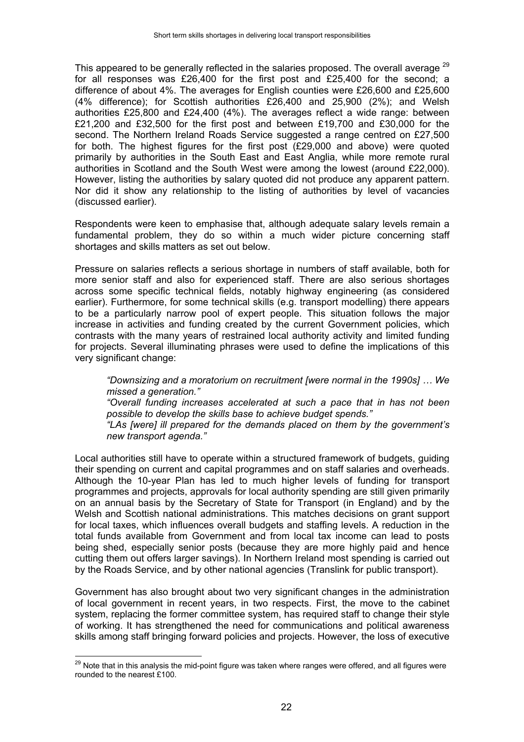This appeared to be generally reflected in the salaries proposed. The overall average  $^{29}$ for all responses was £26,400 for the first post and £25,400 for the second; a difference of about 4%. The averages for English counties were £26,600 and £25,600 (4% difference); for Scottish authorities £26,400 and 25,900 (2%); and Welsh authorities £25,800 and £24,400 (4%). The averages reflect a wide range: between £21,200 and £32,500 for the first post and between £19,700 and £30,000 for the second. The Northern Ireland Roads Service suggested a range centred on £27,500 for both. The highest figures for the first post (£29,000 and above) were quoted primarily by authorities in the South East and East Anglia, while more remote rural authorities in Scotland and the South West were among the lowest (around £22,000). However, listing the authorities by salary quoted did not produce any apparent pattern. Nor did it show any relationship to the listing of authorities by level of vacancies (discussed earlier).

Respondents were keen to emphasise that, although adequate salary levels remain a fundamental problem, they do so within a much wider picture concerning staff shortages and skills matters as set out below.

Pressure on salaries reflects a serious shortage in numbers of staff available, both for more senior staff and also for experienced staff. There are also serious shortages across some specific technical fields, notably highway engineering (as considered earlier). Furthermore, for some technical skills (e.g. transport modelling) there appears to be a particularly narrow pool of expert people. This situation follows the major increase in activities and funding created by the current Government policies, which contrasts with the many years of restrained local authority activity and limited funding for projects. Several illuminating phrases were used to define the implications of this very significant change:

*"Downsizing and a moratorium on recruitment [were normal in the 1990s] … We missed a generation."*

*"Overall funding increases accelerated at such a pace that in has not been possible to develop the skills base to achieve budget spends."*

*"LAs [were] ill prepared for the demands placed on them by the government's new transport agenda."*

Local authorities still have to operate within a structured framework of budgets, guiding their spending on current and capital programmes and on staff salaries and overheads. Although the 10-year Plan has led to much higher levels of funding for transport programmes and projects, approvals for local authority spending are still given primarily on an annual basis by the Secretary of State for Transport (in England) and by the Welsh and Scottish national administrations. This matches decisions on grant support for local taxes, which influences overall budgets and staffing levels. A reduction in the total funds available from Government and from local tax income can lead to posts being shed, especially senior posts (because they are more highly paid and hence cutting them out offers larger savings). In Northern Ireland most spending is carried out by the Roads Service, and by other national agencies (Translink for public transport).

Government has also brought about two very significant changes in the administration of local government in recent years, in two respects. First, the move to the cabinet system, replacing the former committee system, has required staff to change their style of working. It has strengthened the need for communications and political awareness skills among staff bringing forward policies and projects. However, the loss of executive

 $\overline{a}$ 

 $^{29}$  Note that in this analysis the mid-point figure was taken where ranges were offered, and all figures were rounded to the nearest £100.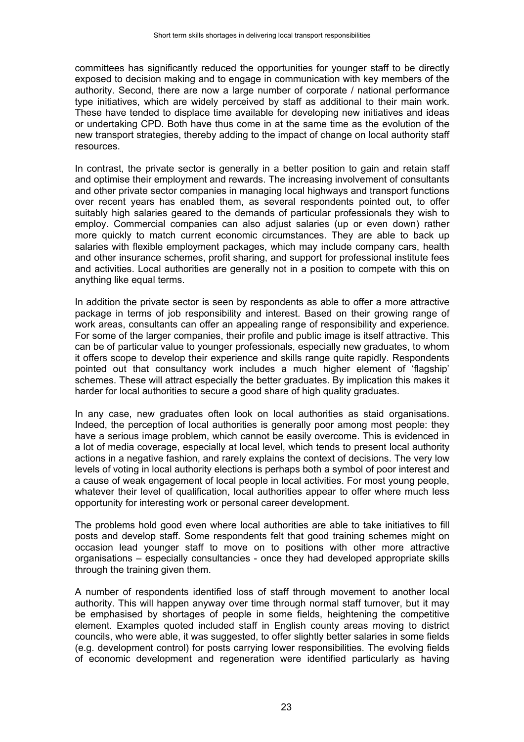committees has significantly reduced the opportunities for younger staff to be directly exposed to decision making and to engage in communication with key members of the authority. Second, there are now a large number of corporate / national performance type initiatives, which are widely perceived by staff as additional to their main work. These have tended to displace time available for developing new initiatives and ideas or undertaking CPD. Both have thus come in at the same time as the evolution of the new transport strategies, thereby adding to the impact of change on local authority staff resources.

In contrast, the private sector is generally in a better position to gain and retain staff and optimise their employment and rewards. The increasing involvement of consultants and other private sector companies in managing local highways and transport functions over recent years has enabled them, as several respondents pointed out, to offer suitably high salaries geared to the demands of particular professionals they wish to employ. Commercial companies can also adjust salaries (up or even down) rather more quickly to match current economic circumstances. They are able to back up salaries with flexible employment packages, which may include company cars, health and other insurance schemes, profit sharing, and support for professional institute fees and activities. Local authorities are generally not in a position to compete with this on anything like equal terms.

In addition the private sector is seen by respondents as able to offer a more attractive package in terms of job responsibility and interest. Based on their growing range of work areas, consultants can offer an appealing range of responsibility and experience. For some of the larger companies, their profile and public image is itself attractive. This can be of particular value to younger professionals, especially new graduates, to whom it offers scope to develop their experience and skills range quite rapidly. Respondents pointed out that consultancy work includes a much higher element of 'flagship' schemes. These will attract especially the better graduates. By implication this makes it harder for local authorities to secure a good share of high quality graduates.

In any case, new graduates often look on local authorities as staid organisations. Indeed, the perception of local authorities is generally poor among most people: they have a serious image problem, which cannot be easily overcome. This is evidenced in a lot of media coverage, especially at local level, which tends to present local authority actions in a negative fashion, and rarely explains the context of decisions. The very low levels of voting in local authority elections is perhaps both a symbol of poor interest and a cause of weak engagement of local people in local activities. For most young people, whatever their level of qualification, local authorities appear to offer where much less opportunity for interesting work or personal career development.

The problems hold good even where local authorities are able to take initiatives to fill posts and develop staff. Some respondents felt that good training schemes might on occasion lead younger staff to move on to positions with other more attractive organisations – especially consultancies - once they had developed appropriate skills through the training given them.

A number of respondents identified loss of staff through movement to another local authority. This will happen anyway over time through normal staff turnover, but it may be emphasised by shortages of people in some fields, heightening the competitive element. Examples quoted included staff in English county areas moving to district councils, who were able, it was suggested, to offer slightly better salaries in some fields (e.g. development control) for posts carrying lower responsibilities. The evolving fields of economic development and regeneration were identified particularly as having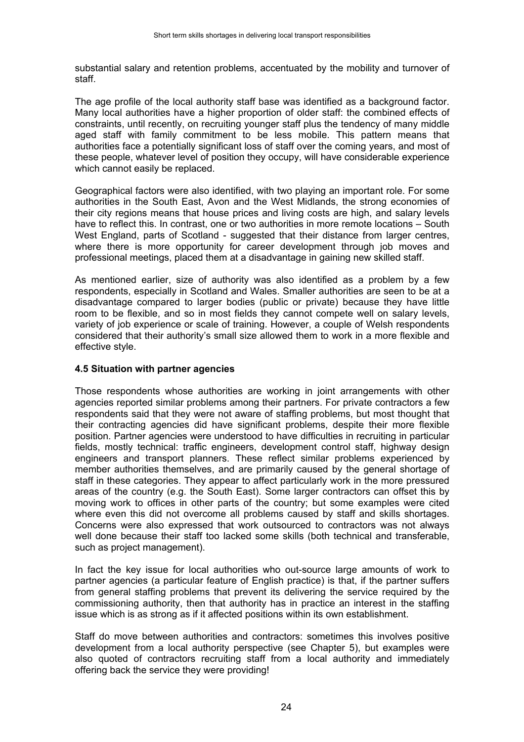substantial salary and retention problems, accentuated by the mobility and turnover of staff.

The age profile of the local authority staff base was identified as a background factor. Many local authorities have a higher proportion of older staff: the combined effects of constraints, until recently, on recruiting younger staff plus the tendency of many middle aged staff with family commitment to be less mobile. This pattern means that authorities face a potentially significant loss of staff over the coming years, and most of these people, whatever level of position they occupy, will have considerable experience which cannot easily be replaced.

Geographical factors were also identified, with two playing an important role. For some authorities in the South East, Avon and the West Midlands, the strong economies of their city regions means that house prices and living costs are high, and salary levels have to reflect this. In contrast, one or two authorities in more remote locations – South West England, parts of Scotland - suggested that their distance from larger centres, where there is more opportunity for career development through job moves and professional meetings, placed them at a disadvantage in gaining new skilled staff.

As mentioned earlier, size of authority was also identified as a problem by a few respondents, especially in Scotland and Wales. Smaller authorities are seen to be at a disadvantage compared to larger bodies (public or private) because they have little room to be flexible, and so in most fields they cannot compete well on salary levels, variety of job experience or scale of training. However, a couple of Welsh respondents considered that their authority's small size allowed them to work in a more flexible and effective style.

#### **4.5 Situation with partner agencies**

Those respondents whose authorities are working in joint arrangements with other agencies reported similar problems among their partners. For private contractors a few respondents said that they were not aware of staffing problems, but most thought that their contracting agencies did have significant problems, despite their more flexible position. Partner agencies were understood to have difficulties in recruiting in particular fields, mostly technical: traffic engineers, development control staff, highway design engineers and transport planners. These reflect similar problems experienced by member authorities themselves, and are primarily caused by the general shortage of staff in these categories. They appear to affect particularly work in the more pressured areas of the country (e.g. the South East). Some larger contractors can offset this by moving work to offices in other parts of the country; but some examples were cited where even this did not overcome all problems caused by staff and skills shortages. Concerns were also expressed that work outsourced to contractors was not always well done because their staff too lacked some skills (both technical and transferable, such as project management).

In fact the key issue for local authorities who out-source large amounts of work to partner agencies (a particular feature of English practice) is that, if the partner suffers from general staffing problems that prevent its delivering the service required by the commissioning authority, then that authority has in practice an interest in the staffing issue which is as strong as if it affected positions within its own establishment.

Staff do move between authorities and contractors: sometimes this involves positive development from a local authority perspective (see Chapter 5), but examples were also quoted of contractors recruiting staff from a local authority and immediately offering back the service they were providing!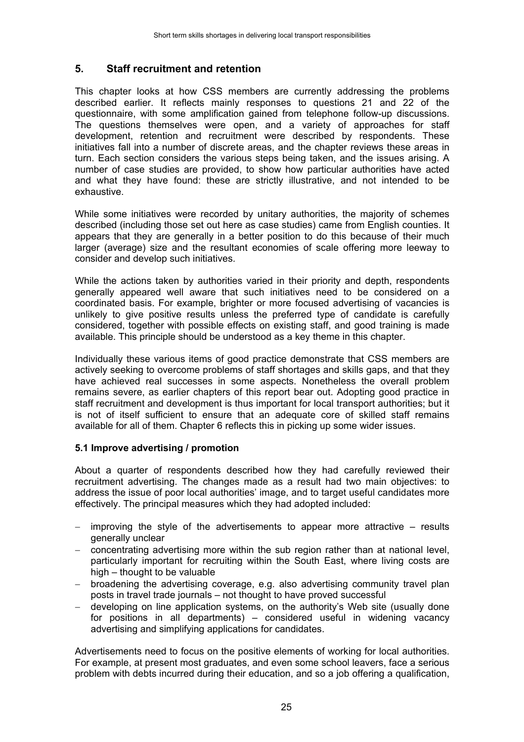# **5. Staff recruitment and retention**

This chapter looks at how CSS members are currently addressing the problems described earlier. It reflects mainly responses to questions 21 and 22 of the questionnaire, with some amplification gained from telephone follow-up discussions. The questions themselves were open, and a variety of approaches for staff development, retention and recruitment were described by respondents. These initiatives fall into a number of discrete areas, and the chapter reviews these areas in turn. Each section considers the various steps being taken, and the issues arising. A number of case studies are provided, to show how particular authorities have acted and what they have found: these are strictly illustrative, and not intended to be exhaustive.

While some initiatives were recorded by unitary authorities, the majority of schemes described (including those set out here as case studies) came from English counties. It appears that they are generally in a better position to do this because of their much larger (average) size and the resultant economies of scale offering more leeway to consider and develop such initiatives.

While the actions taken by authorities varied in their priority and depth, respondents generally appeared well aware that such initiatives need to be considered on a coordinated basis. For example, brighter or more focused advertising of vacancies is unlikely to give positive results unless the preferred type of candidate is carefully considered, together with possible effects on existing staff, and good training is made available. This principle should be understood as a key theme in this chapter.

Individually these various items of good practice demonstrate that CSS members are actively seeking to overcome problems of staff shortages and skills gaps, and that they have achieved real successes in some aspects. Nonetheless the overall problem remains severe, as earlier chapters of this report bear out. Adopting good practice in staff recruitment and development is thus important for local transport authorities; but it is not of itself sufficient to ensure that an adequate core of skilled staff remains available for all of them. Chapter 6 reflects this in picking up some wider issues.

#### **5.1 Improve advertising / promotion**

About a quarter of respondents described how they had carefully reviewed their recruitment advertising. The changes made as a result had two main objectives: to address the issue of poor local authorities' image, and to target useful candidates more effectively. The principal measures which they had adopted included:

- − improving the style of the advertisements to appear more attractive results generally unclear
- − concentrating advertising more within the sub region rather than at national level, particularly important for recruiting within the South East, where living costs are high – thought to be valuable
- − broadening the advertising coverage, e.g. also advertising community travel plan posts in travel trade journals – not thought to have proved successful
- − developing on line application systems, on the authority's Web site (usually done for positions in all departments) – considered useful in widening vacancy advertising and simplifying applications for candidates.

Advertisements need to focus on the positive elements of working for local authorities. For example, at present most graduates, and even some school leavers, face a serious problem with debts incurred during their education, and so a job offering a qualification,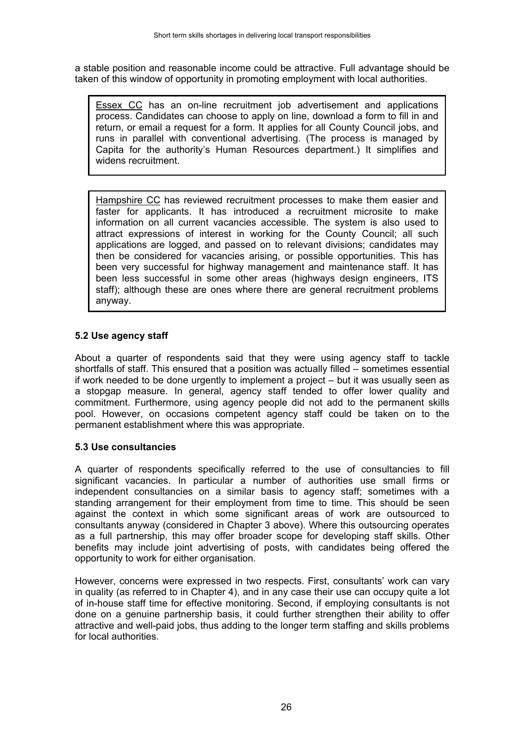a stable position and reasonable income could be attractive. Full advantage should be taken of this window of opportunity in promoting employment with local authorities.

Essex CC has an on-line recruitment job advertisement and applications process. Candidates can choose to apply on line, download a form to fill in and return, or email a request for a form. It applies for all County Council jobs, and runs in parallel with conventional advertising. (The process is managed by Capita for the authority's Human Resources department.) It simplifies and widens recruitment.

Hampshire CC has reviewed recruitment processes to make them easier and faster for applicants. It has introduced a recruitment microsite to make information on all current vacancies accessible. The system is also used to attract expressions of interest in working for the County Council; all such applications are logged, and passed on to relevant divisions; candidates may then be considered for vacancies arising, or possible opportunities. This has been very successful for highway management and maintenance staff. It has been less successful in some other areas (highways design engineers, ITS staff); although these are ones where there are general recruitment problems anyway.

#### **5.2 Use agency staff**

About a quarter of respondents said that they were using agency staff to tackle shortfalls of staff. This ensured that a position was actually filled – sometimes essential if work needed to be done urgently to implement a project – but it was usually seen as a stopgap measure. In general, agency staff tended to offer lower quality and commitment. Furthermore, using agency people did not add to the permanent skills pool. However, on occasions competent agency staff could be taken on to the permanent establishment where this was appropriate.

#### **5.3 Use consultancies**

A quarter of respondents specifically referred to the use of consultancies to fill significant vacancies. In particular a number of authorities use small firms or independent consultancies on a similar basis to agency staff; sometimes with a standing arrangement for their employment from time to time. This should be seen against the context in which some significant areas of work are outsourced to consultants anyway (considered in Chapter 3 above). Where this outsourcing operates as a full partnership, this may offer broader scope for developing staff skills. Other benefits may include joint advertising of posts, with candidates being offered the opportunity to work for either organisation.

However, concerns were expressed in two respects. First, consultants' work can vary in quality (as referred to in Chapter 4), and in any case their use can occupy quite a lot of in-house staff time for effective monitoring. Second, if employing consultants is not done on a genuine partnership basis, it could further strengthen their ability to offer attractive and well-paid jobs, thus adding to the longer term staffing and skills problems for local authorities.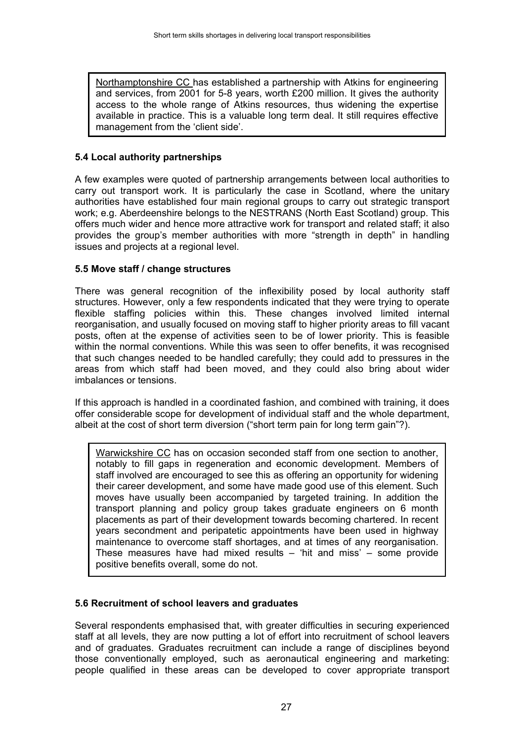Northamptonshire CC has established a partnership with Atkins for engineering and services, from 2001 for 5-8 years, worth £200 million. It gives the authority access to the whole range of Atkins resources, thus widening the expertise available in practice. This is a valuable long term deal. It still requires effective management from the 'client side'.

#### **5.4 Local authority partnerships**

A few examples were quoted of partnership arrangements between local authorities to carry out transport work. It is particularly the case in Scotland, where the unitary authorities have established four main regional groups to carry out strategic transport work; e.g. Aberdeenshire belongs to the NESTRANS (North East Scotland) group. This offers much wider and hence more attractive work for transport and related staff; it also provides the group's member authorities with more "strength in depth" in handling issues and projects at a regional level.

#### **5.5 Move staff / change structures**

There was general recognition of the inflexibility posed by local authority staff structures. However, only a few respondents indicated that they were trying to operate flexible staffing policies within this. These changes involved limited internal reorganisation, and usually focused on moving staff to higher priority areas to fill vacant posts, often at the expense of activities seen to be of lower priority. This is feasible within the normal conventions. While this was seen to offer benefits, it was recognised that such changes needed to be handled carefully; they could add to pressures in the areas from which staff had been moved, and they could also bring about wider imbalances or tensions.

If this approach is handled in a coordinated fashion, and combined with training, it does offer considerable scope for development of individual staff and the whole department, albeit at the cost of short term diversion ("short term pain for long term gain"?).

Warwickshire CC has on occasion seconded staff from one section to another, notably to fill gaps in regeneration and economic development. Members of staff involved are encouraged to see this as offering an opportunity for widening their career development, and some have made good use of this element. Such moves have usually been accompanied by targeted training. In addition the transport planning and policy group takes graduate engineers on 6 month placements as part of their development towards becoming chartered. In recent years secondment and peripatetic appointments have been used in highway maintenance to overcome staff shortages, and at times of any reorganisation. These measures have had mixed results – 'hit and miss' – some provide positive benefits overall, some do not.

#### **5.6 Recruitment of school leavers and graduates**

Several respondents emphasised that, with greater difficulties in securing experienced staff at all levels, they are now putting a lot of effort into recruitment of school leavers and of graduates. Graduates recruitment can include a range of disciplines beyond those conventionally employed, such as aeronautical engineering and marketing: people qualified in these areas can be developed to cover appropriate transport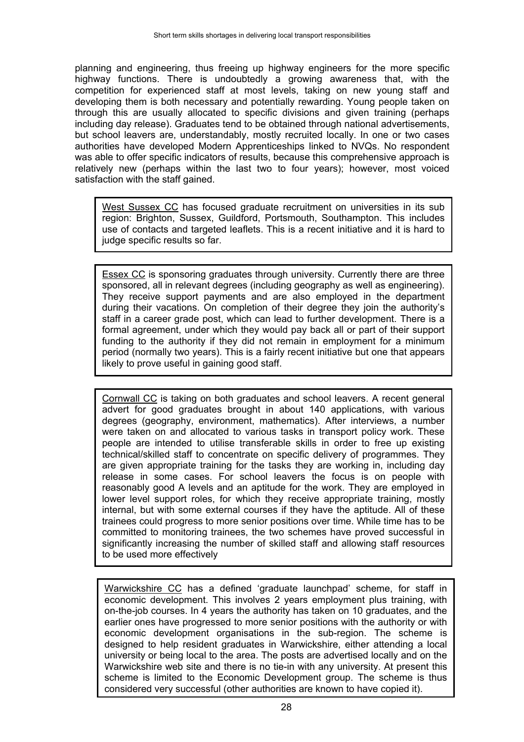planning and engineering, thus freeing up highway engineers for the more specific highway functions. There is undoubtedly a growing awareness that, with the competition for experienced staff at most levels, taking on new young staff and developing them is both necessary and potentially rewarding. Young people taken on through this are usually allocated to specific divisions and given training (perhaps including day release). Graduates tend to be obtained through national advertisements, but school leavers are, understandably, mostly recruited locally. In one or two cases authorities have developed Modern Apprenticeships linked to NVQs. No respondent was able to offer specific indicators of results, because this comprehensive approach is relatively new (perhaps within the last two to four years); however, most voiced satisfaction with the staff gained.

West Sussex CC has focused graduate recruitment on universities in its sub region: Brighton, Sussex, Guildford, Portsmouth, Southampton. This includes use of contacts and targeted leaflets. This is a recent initiative and it is hard to judge specific results so far.

Essex CC is sponsoring graduates through university. Currently there are three sponsored, all in relevant degrees (including geography as well as engineering). They receive support payments and are also employed in the department during their vacations. On completion of their degree they join the authority's staff in a career grade post, which can lead to further development. There is a formal agreement, under which they would pay back all or part of their support funding to the authority if they did not remain in employment for a minimum period (normally two years). This is a fairly recent initiative but one that appears likely to prove useful in gaining good staff.

Cornwall CC is taking on both graduates and school leavers. A recent general advert for good graduates brought in about 140 applications, with various degrees (geography, environment, mathematics). After interviews, a number were taken on and allocated to various tasks in transport policy work. These people are intended to utilise transferable skills in order to free up existing technical/skilled staff to concentrate on specific delivery of programmes. They are given appropriate training for the tasks they are working in, including day release in some cases. For school leavers the focus is on people with reasonably good A levels and an aptitude for the work. They are employed in lower level support roles, for which they receive appropriate training, mostly internal, but with some external courses if they have the aptitude. All of these trainees could progress to more senior positions over time. While time has to be committed to monitoring trainees, the two schemes have proved successful in significantly increasing the number of skilled staff and allowing staff resources to be used more effectively

Warwickshire CC has a defined 'graduate launchpad' scheme, for staff in economic development. This involves 2 years employment plus training, with on-the-job courses. In 4 years the authority has taken on 10 graduates, and the earlier ones have progressed to more senior positions with the authority or with economic development organisations in the sub-region. The scheme is designed to help resident graduates in Warwickshire, either attending a local university or being local to the area. The posts are advertised locally and on the Warwickshire web site and there is no tie-in with any university. At present this scheme is limited to the Economic Development group. The scheme is thus considered very successful (other authorities are known to have copied it).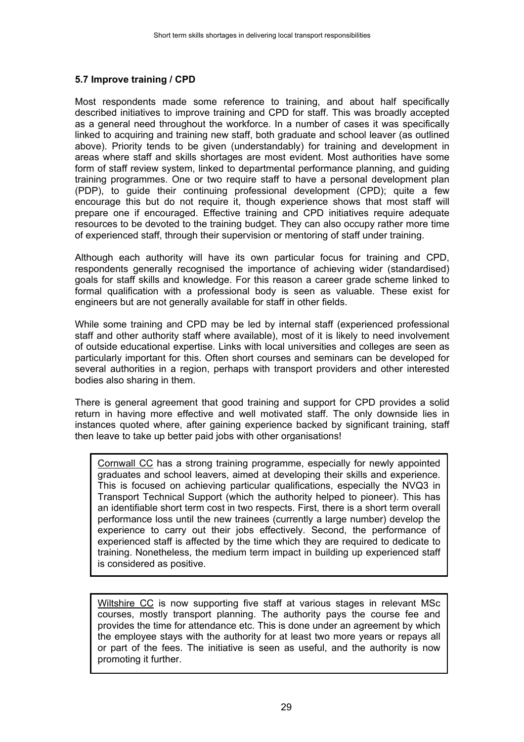#### **5.7 Improve training / CPD**

Most respondents made some reference to training, and about half specifically described initiatives to improve training and CPD for staff. This was broadly accepted as a general need throughout the workforce. In a number of cases it was specifically linked to acquiring and training new staff, both graduate and school leaver (as outlined above). Priority tends to be given (understandably) for training and development in areas where staff and skills shortages are most evident. Most authorities have some form of staff review system, linked to departmental performance planning, and guiding training programmes. One or two require staff to have a personal development plan (PDP), to guide their continuing professional development (CPD); quite a few encourage this but do not require it, though experience shows that most staff will prepare one if encouraged. Effective training and CPD initiatives require adequate resources to be devoted to the training budget. They can also occupy rather more time of experienced staff, through their supervision or mentoring of staff under training.

Although each authority will have its own particular focus for training and CPD, respondents generally recognised the importance of achieving wider (standardised) goals for staff skills and knowledge. For this reason a career grade scheme linked to formal qualification with a professional body is seen as valuable. These exist for engineers but are not generally available for staff in other fields.

While some training and CPD may be led by internal staff (experienced professional staff and other authority staff where available), most of it is likely to need involvement of outside educational expertise. Links with local universities and colleges are seen as particularly important for this. Often short courses and seminars can be developed for several authorities in a region, perhaps with transport providers and other interested bodies also sharing in them.

There is general agreement that good training and support for CPD provides a solid return in having more effective and well motivated staff. The only downside lies in instances quoted where, after gaining experience backed by significant training, staff then leave to take up better paid jobs with other organisations!

Cornwall CC has a strong training programme, especially for newly appointed graduates and school leavers, aimed at developing their skills and experience. This is focused on achieving particular qualifications, especially the NVQ3 in Transport Technical Support (which the authority helped to pioneer). This has an identifiable short term cost in two respects. First, there is a short term overall performance loss until the new trainees (currently a large number) develop the experience to carry out their jobs effectively. Second, the performance of experienced staff is affected by the time which they are required to dedicate to training. Nonetheless, the medium term impact in building up experienced staff is considered as positive.

Wiltshire CC is now supporting five staff at various stages in relevant MSc courses, mostly transport planning. The authority pays the course fee and provides the time for attendance etc. This is done under an agreement by which the employee stays with the authority for at least two more years or repays all or part of the fees. The initiative is seen as useful, and the authority is now promoting it further.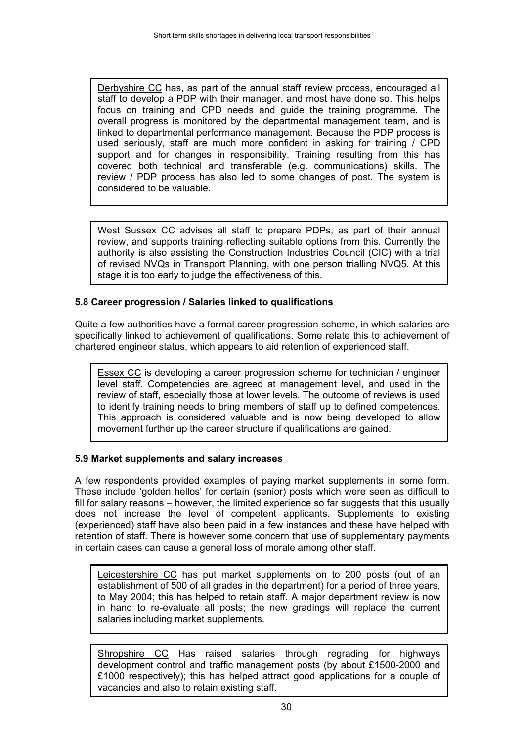Derbyshire CC has, as part of the annual staff review process, encouraged all staff to develop a PDP with their manager, and most have done so. This helps focus on training and CPD needs and guide the training programme. The overall progress is monitored by the departmental management team, and is linked to departmental performance management. Because the PDP process is used seriously, staff are much more confident in asking for training / CPD support and for changes in responsibility. Training resulting from this has covered both technical and transferable (e.g. communications) skills. The review / PDP process has also led to some changes of post. The system is considered to be valuable.

West Sussex CC advises all staff to prepare PDPs, as part of their annual review, and supports training reflecting suitable options from this. Currently the authority is also assisting the Construction Industries Council (CIC) with a trial of revised NVQs in Transport Planning, with one person trialling NVQ5. At this stage it is too early to judge the effectiveness of this.

# **5.8 Career progression / Salaries linked to qualifications**

Quite a few authorities have a formal career progression scheme, in which salaries are specifically linked to achievement of qualifications. Some relate this to achievement of chartered engineer status, which appears to aid retention of experienced staff.

Essex CC is developing a career progression scheme for technician / engineer level staff. Competencies are agreed at management level, and used in the review of staff, especially those at lower levels. The outcome of reviews is used to identify training needs to bring members of staff up to defined competences. This approach is considered valuable and is now being developed to allow movement further up the career structure if qualifications are gained.

### **5.9 Market supplements and salary increases**

A few respondents provided examples of paying market supplements in some form. These include 'golden hellos' for certain (senior) posts which were seen as difficult to fill for salary reasons – however, the limited experience so far suggests that this usually does not increase the level of competent applicants. Supplements to existing (experienced) staff have also been paid in a few instances and these have helped with retention of staff. There is however some concern that use of supplementary payments in certain cases can cause a general loss of morale among other staff.

Leicestershire CC has put market supplements on to 200 posts (out of an establishment of 500 of all grades in the department) for a period of three years, to May 2004; this has helped to retain staff. A major department review is now in hand to re-evaluate all posts; the new gradings will replace the current salaries including market supplements.

Shropshire CC Has raised salaries through regrading for highways development control and traffic management posts (by about £1500-2000 and £1000 respectively); this has helped attract good applications for a couple of vacancies and also to retain existing staff.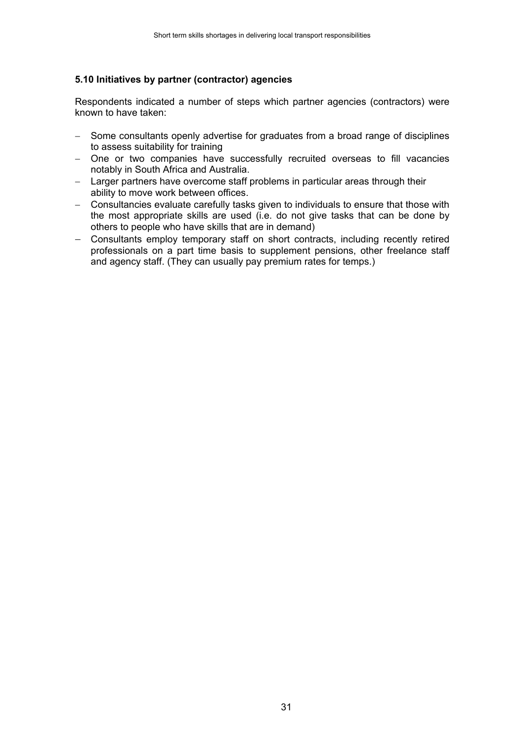#### **5.10 Initiatives by partner (contractor) agencies**

Respondents indicated a number of steps which partner agencies (contractors) were known to have taken:

- − Some consultants openly advertise for graduates from a broad range of disciplines to assess suitability for training
- − One or two companies have successfully recruited overseas to fill vacancies notably in South Africa and Australia.
- − Larger partners have overcome staff problems in particular areas through their ability to move work between offices.
- − Consultancies evaluate carefully tasks given to individuals to ensure that those with the most appropriate skills are used (i.e. do not give tasks that can be done by others to people who have skills that are in demand)
- − Consultants employ temporary staff on short contracts, including recently retired professionals on a part time basis to supplement pensions, other freelance staff and agency staff. (They can usually pay premium rates for temps.)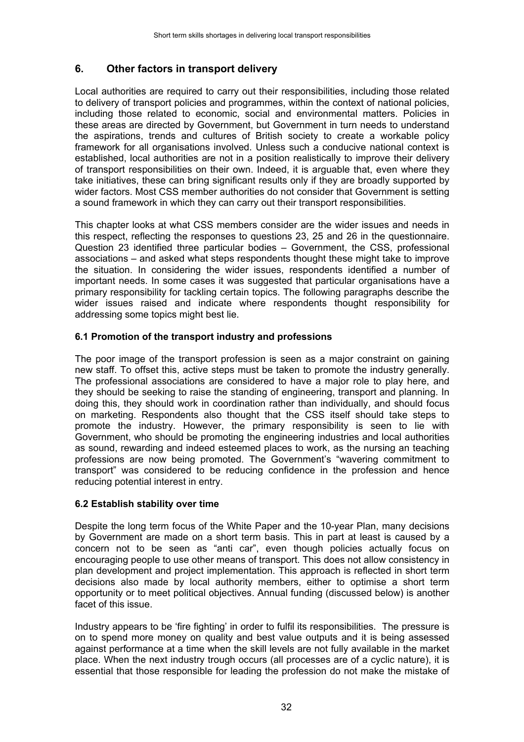# **6. Other factors in transport delivery**

Local authorities are required to carry out their responsibilities, including those related to delivery of transport policies and programmes, within the context of national policies, including those related to economic, social and environmental matters. Policies in these areas are directed by Government, but Government in turn needs to understand the aspirations, trends and cultures of British society to create a workable policy framework for all organisations involved. Unless such a conducive national context is established, local authorities are not in a position realistically to improve their delivery of transport responsibilities on their own. Indeed, it is arguable that, even where they take initiatives, these can bring significant results only if they are broadly supported by wider factors. Most CSS member authorities do not consider that Government is setting a sound framework in which they can carry out their transport responsibilities.

This chapter looks at what CSS members consider are the wider issues and needs in this respect, reflecting the responses to questions 23, 25 and 26 in the questionnaire. Question 23 identified three particular bodies – Government, the CSS, professional associations – and asked what steps respondents thought these might take to improve the situation. In considering the wider issues, respondents identified a number of important needs. In some cases it was suggested that particular organisations have a primary responsibility for tackling certain topics. The following paragraphs describe the wider issues raised and indicate where respondents thought responsibility for addressing some topics might best lie.

#### **6.1 Promotion of the transport industry and professions**

The poor image of the transport profession is seen as a major constraint on gaining new staff. To offset this, active steps must be taken to promote the industry generally. The professional associations are considered to have a major role to play here, and they should be seeking to raise the standing of engineering, transport and planning. In doing this, they should work in coordination rather than individually, and should focus on marketing. Respondents also thought that the CSS itself should take steps to promote the industry. However, the primary responsibility is seen to lie with Government, who should be promoting the engineering industries and local authorities as sound, rewarding and indeed esteemed places to work, as the nursing an teaching professions are now being promoted. The Government's "wavering commitment to transport" was considered to be reducing confidence in the profession and hence reducing potential interest in entry.

#### **6.2 Establish stability over time**

Despite the long term focus of the White Paper and the 10-year Plan, many decisions by Government are made on a short term basis. This in part at least is caused by a concern not to be seen as "anti car", even though policies actually focus on encouraging people to use other means of transport. This does not allow consistency in plan development and project implementation. This approach is reflected in short term decisions also made by local authority members, either to optimise a short term opportunity or to meet political objectives. Annual funding (discussed below) is another facet of this issue.

Industry appears to be 'fire fighting' in order to fulfil its responsibilities. The pressure is on to spend more money on quality and best value outputs and it is being assessed against performance at a time when the skill levels are not fully available in the market place. When the next industry trough occurs (all processes are of a cyclic nature), it is essential that those responsible for leading the profession do not make the mistake of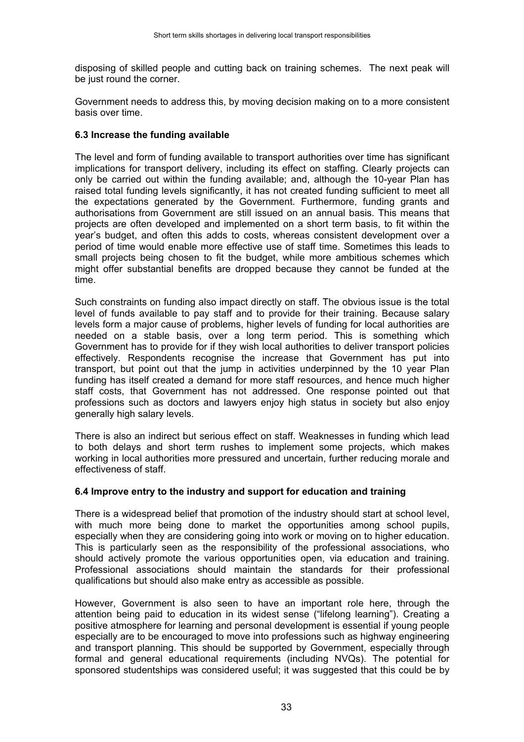disposing of skilled people and cutting back on training schemes. The next peak will be just round the corner.

Government needs to address this, by moving decision making on to a more consistent basis over time.

#### **6.3 Increase the funding available**

The level and form of funding available to transport authorities over time has significant implications for transport delivery, including its effect on staffing. Clearly projects can only be carried out within the funding available; and, although the 10-year Plan has raised total funding levels significantly, it has not created funding sufficient to meet all the expectations generated by the Government. Furthermore, funding grants and authorisations from Government are still issued on an annual basis. This means that projects are often developed and implemented on a short term basis, to fit within the year's budget, and often this adds to costs, whereas consistent development over a period of time would enable more effective use of staff time. Sometimes this leads to small projects being chosen to fit the budget, while more ambitious schemes which might offer substantial benefits are dropped because they cannot be funded at the time.

Such constraints on funding also impact directly on staff. The obvious issue is the total level of funds available to pay staff and to provide for their training. Because salary levels form a major cause of problems, higher levels of funding for local authorities are needed on a stable basis, over a long term period. This is something which Government has to provide for if they wish local authorities to deliver transport policies effectively. Respondents recognise the increase that Government has put into transport, but point out that the jump in activities underpinned by the 10 year Plan funding has itself created a demand for more staff resources, and hence much higher staff costs, that Government has not addressed. One response pointed out that professions such as doctors and lawyers enjoy high status in society but also enjoy generally high salary levels.

There is also an indirect but serious effect on staff. Weaknesses in funding which lead to both delays and short term rushes to implement some projects, which makes working in local authorities more pressured and uncertain, further reducing morale and effectiveness of staff.

#### **6.4 Improve entry to the industry and support for education and training**

There is a widespread belief that promotion of the industry should start at school level, with much more being done to market the opportunities among school pupils, especially when they are considering going into work or moving on to higher education. This is particularly seen as the responsibility of the professional associations, who should actively promote the various opportunities open, via education and training. Professional associations should maintain the standards for their professional qualifications but should also make entry as accessible as possible.

However, Government is also seen to have an important role here, through the attention being paid to education in its widest sense ("lifelong learning"). Creating a positive atmosphere for learning and personal development is essential if young people especially are to be encouraged to move into professions such as highway engineering and transport planning. This should be supported by Government, especially through formal and general educational requirements (including NVQs). The potential for sponsored studentships was considered useful; it was suggested that this could be by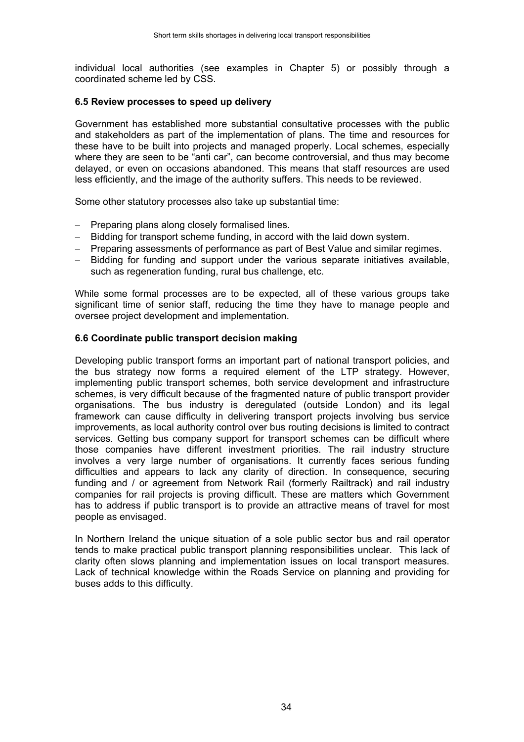individual local authorities (see examples in Chapter 5) or possibly through a coordinated scheme led by CSS.

#### **6.5 Review processes to speed up delivery**

Government has established more substantial consultative processes with the public and stakeholders as part of the implementation of plans. The time and resources for these have to be built into projects and managed properly. Local schemes, especially where they are seen to be "anti car", can become controversial, and thus may become delayed, or even on occasions abandoned. This means that staff resources are used less efficiently, and the image of the authority suffers. This needs to be reviewed.

Some other statutory processes also take up substantial time:

- − Preparing plans along closely formalised lines.
- − Bidding for transport scheme funding, in accord with the laid down system.
- − Preparing assessments of performance as part of Best Value and similar regimes.
- − Bidding for funding and support under the various separate initiatives available, such as regeneration funding, rural bus challenge, etc.

While some formal processes are to be expected, all of these various groups take significant time of senior staff, reducing the time they have to manage people and oversee project development and implementation.

#### **6.6 Coordinate public transport decision making**

Developing public transport forms an important part of national transport policies, and the bus strategy now forms a required element of the LTP strategy. However, implementing public transport schemes, both service development and infrastructure schemes, is very difficult because of the fragmented nature of public transport provider organisations. The bus industry is deregulated (outside London) and its legal framework can cause difficulty in delivering transport projects involving bus service improvements, as local authority control over bus routing decisions is limited to contract services. Getting bus company support for transport schemes can be difficult where those companies have different investment priorities. The rail industry structure involves a very large number of organisations. It currently faces serious funding difficulties and appears to lack any clarity of direction. In consequence, securing funding and / or agreement from Network Rail (formerly Railtrack) and rail industry companies for rail projects is proving difficult. These are matters which Government has to address if public transport is to provide an attractive means of travel for most people as envisaged.

In Northern Ireland the unique situation of a sole public sector bus and rail operator tends to make practical public transport planning responsibilities unclear. This lack of clarity often slows planning and implementation issues on local transport measures. Lack of technical knowledge within the Roads Service on planning and providing for buses adds to this difficulty.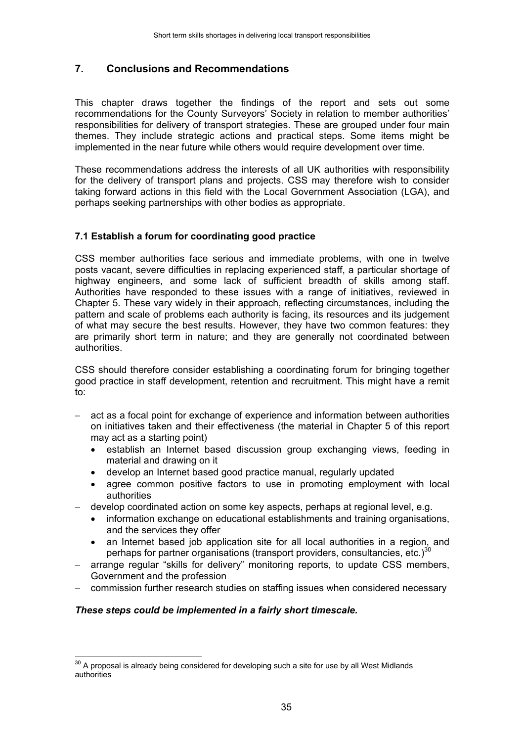# **7. Conclusions and Recommendations**

This chapter draws together the findings of the report and sets out some recommendations for the County Surveyors' Society in relation to member authorities' responsibilities for delivery of transport strategies. These are grouped under four main themes. They include strategic actions and practical steps. Some items might be implemented in the near future while others would require development over time.

These recommendations address the interests of all UK authorities with responsibility for the delivery of transport plans and projects. CSS may therefore wish to consider taking forward actions in this field with the Local Government Association (LGA), and perhaps seeking partnerships with other bodies as appropriate.

#### **7.1 Establish a forum for coordinating good practice**

CSS member authorities face serious and immediate problems, with one in twelve posts vacant, severe difficulties in replacing experienced staff, a particular shortage of highway engineers, and some lack of sufficient breadth of skills among staff. Authorities have responded to these issues with a range of initiatives, reviewed in Chapter 5. These vary widely in their approach, reflecting circumstances, including the pattern and scale of problems each authority is facing, its resources and its judgement of what may secure the best results. However, they have two common features: they are primarily short term in nature; and they are generally not coordinated between authorities.

CSS should therefore consider establishing a coordinating forum for bringing together good practice in staff development, retention and recruitment. This might have a remit to:

- act as a focal point for exchange of experience and information between authorities on initiatives taken and their effectiveness (the material in Chapter 5 of this report may act as a starting point)
	- establish an Internet based discussion group exchanging views, feeding in material and drawing on it
	- develop an Internet based good practice manual, regularly updated
	- agree common positive factors to use in promoting employment with local authorities
- − develop coordinated action on some key aspects, perhaps at regional level, e.g.
	- information exchange on educational establishments and training organisations, and the services they offer
	- an Internet based job application site for all local authorities in a region, and perhaps for partner organisations (transport providers, consultancies, etc.) $30$
- − arrange regular "skills for delivery" monitoring reports, to update CSS members, Government and the profession
- − commission further research studies on staffing issues when considered necessary

#### *These steps could be implemented in a fairly short timescale.*

 $\overline{a}$ 

 $30$  A proposal is already being considered for developing such a site for use by all West Midlands authorities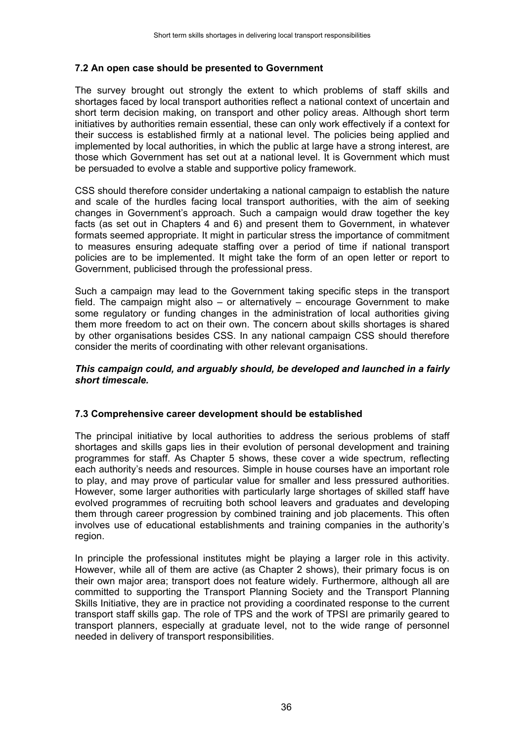#### **7.2 An open case should be presented to Government**

The survey brought out strongly the extent to which problems of staff skills and shortages faced by local transport authorities reflect a national context of uncertain and short term decision making, on transport and other policy areas. Although short term initiatives by authorities remain essential, these can only work effectively if a context for their success is established firmly at a national level. The policies being applied and implemented by local authorities, in which the public at large have a strong interest, are those which Government has set out at a national level. It is Government which must be persuaded to evolve a stable and supportive policy framework.

CSS should therefore consider undertaking a national campaign to establish the nature and scale of the hurdles facing local transport authorities, with the aim of seeking changes in Government's approach. Such a campaign would draw together the key facts (as set out in Chapters 4 and 6) and present them to Government, in whatever formats seemed appropriate. It might in particular stress the importance of commitment to measures ensuring adequate staffing over a period of time if national transport policies are to be implemented. It might take the form of an open letter or report to Government, publicised through the professional press.

Such a campaign may lead to the Government taking specific steps in the transport field. The campaign might also – or alternatively – encourage Government to make some regulatory or funding changes in the administration of local authorities giving them more freedom to act on their own. The concern about skills shortages is shared by other organisations besides CSS. In any national campaign CSS should therefore consider the merits of coordinating with other relevant organisations.

#### *This campaign could, and arguably should, be developed and launched in a fairly short timescale.*

#### **7.3 Comprehensive career development should be established**

The principal initiative by local authorities to address the serious problems of staff shortages and skills gaps lies in their evolution of personal development and training programmes for staff. As Chapter 5 shows, these cover a wide spectrum, reflecting each authority's needs and resources. Simple in house courses have an important role to play, and may prove of particular value for smaller and less pressured authorities. However, some larger authorities with particularly large shortages of skilled staff have evolved programmes of recruiting both school leavers and graduates and developing them through career progression by combined training and job placements. This often involves use of educational establishments and training companies in the authority's region.

In principle the professional institutes might be playing a larger role in this activity. However, while all of them are active (as Chapter 2 shows), their primary focus is on their own major area; transport does not feature widely. Furthermore, although all are committed to supporting the Transport Planning Society and the Transport Planning Skills Initiative, they are in practice not providing a coordinated response to the current transport staff skills gap. The role of TPS and the work of TPSI are primarily geared to transport planners, especially at graduate level, not to the wide range of personnel needed in delivery of transport responsibilities.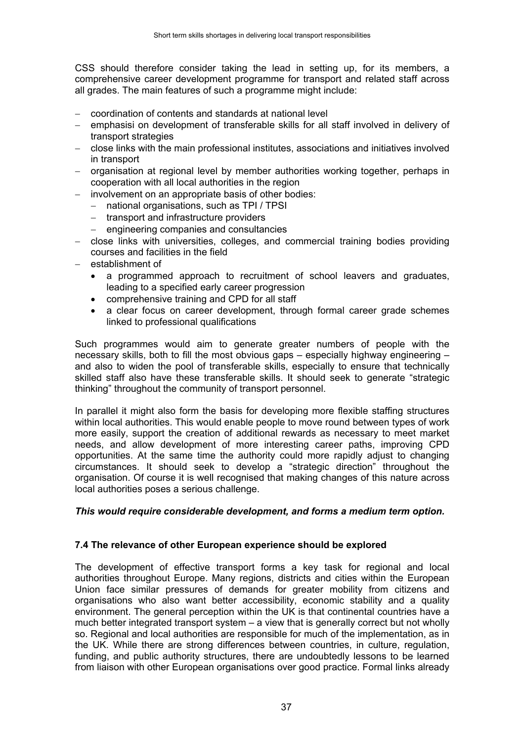CSS should therefore consider taking the lead in setting up, for its members, a comprehensive career development programme for transport and related staff across all grades. The main features of such a programme might include:

- − coordination of contents and standards at national level
- − emphasisi on development of transferable skills for all staff involved in delivery of transport strategies
- − close links with the main professional institutes, associations and initiatives involved in transport
- − organisation at regional level by member authorities working together, perhaps in cooperation with all local authorities in the region
- involvement on an appropriate basis of other bodies:
	- − national organisations, such as TPI / TPSI
	- − transport and infrastructure providers
	- − engineering companies and consultancies
- − close links with universities, colleges, and commercial training bodies providing courses and facilities in the field
- − establishment of
	- a programmed approach to recruitment of school leavers and graduates, leading to a specified early career progression
	- comprehensive training and CPD for all staff
	- a clear focus on career development, through formal career grade schemes linked to professional qualifications

Such programmes would aim to generate greater numbers of people with the necessary skills, both to fill the most obvious gaps – especially highway engineering – and also to widen the pool of transferable skills, especially to ensure that technically skilled staff also have these transferable skills. It should seek to generate "strategic thinking" throughout the community of transport personnel.

In parallel it might also form the basis for developing more flexible staffing structures within local authorities. This would enable people to move round between types of work more easily, support the creation of additional rewards as necessary to meet market needs, and allow development of more interesting career paths, improving CPD opportunities. At the same time the authority could more rapidly adjust to changing circumstances. It should seek to develop a "strategic direction" throughout the organisation. Of course it is well recognised that making changes of this nature across local authorities poses a serious challenge.

#### *This would require considerable development, and forms a medium term option.*

### **7.4 The relevance of other European experience should be explored**

The development of effective transport forms a key task for regional and local authorities throughout Europe. Many regions, districts and cities within the European Union face similar pressures of demands for greater mobility from citizens and organisations who also want better accessibility, economic stability and a quality environment. The general perception within the UK is that continental countries have a much better integrated transport system – a view that is generally correct but not wholly so. Regional and local authorities are responsible for much of the implementation, as in the UK. While there are strong differences between countries, in culture, regulation, funding, and public authority structures, there are undoubtedly lessons to be learned from liaison with other European organisations over good practice. Formal links already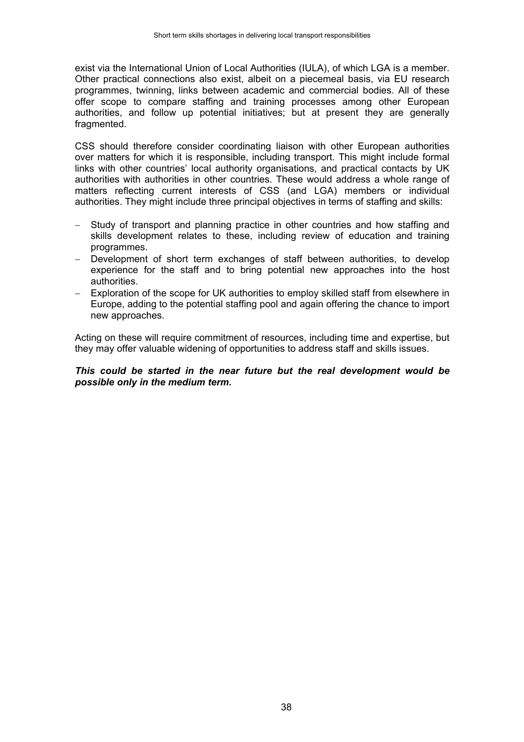exist via the International Union of Local Authorities (IULA), of which LGA is a member. Other practical connections also exist, albeit on a piecemeal basis, via EU research programmes, twinning, links between academic and commercial bodies. All of these offer scope to compare staffing and training processes among other European authorities, and follow up potential initiatives; but at present they are generally fragmented.

CSS should therefore consider coordinating liaison with other European authorities over matters for which it is responsible, including transport. This might include formal links with other countries' local authority organisations, and practical contacts by UK authorities with authorities in other countries. These would address a whole range of matters reflecting current interests of CSS (and LGA) members or individual authorities. They might include three principal objectives in terms of staffing and skills:

- Study of transport and planning practice in other countries and how staffing and skills development relates to these, including review of education and training programmes.
- − Development of short term exchanges of staff between authorities, to develop experience for the staff and to bring potential new approaches into the host authorities.
- − Exploration of the scope for UK authorities to employ skilled staff from elsewhere in Europe, adding to the potential staffing pool and again offering the chance to import new approaches.

Acting on these will require commitment of resources, including time and expertise, but they may offer valuable widening of opportunities to address staff and skills issues.

#### *This could be started in the near future but the real development would be possible only in the medium term.*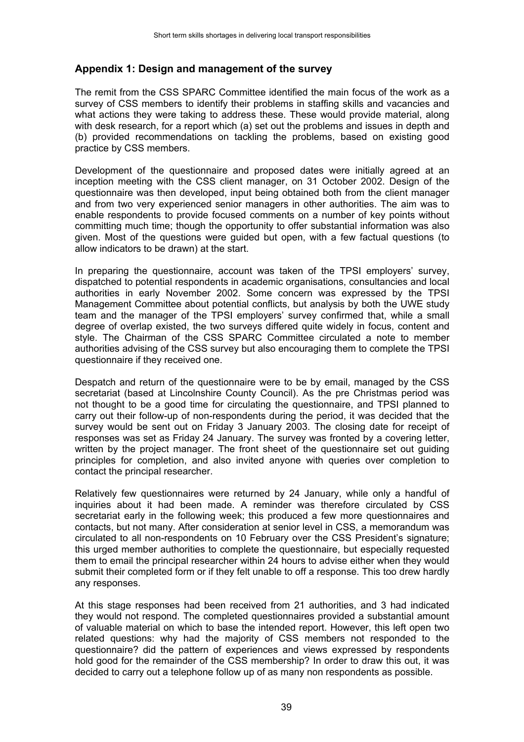### **Appendix 1: Design and management of the survey**

The remit from the CSS SPARC Committee identified the main focus of the work as a survey of CSS members to identify their problems in staffing skills and vacancies and what actions they were taking to address these. These would provide material, along with desk research, for a report which (a) set out the problems and issues in depth and (b) provided recommendations on tackling the problems, based on existing good practice by CSS members.

Development of the questionnaire and proposed dates were initially agreed at an inception meeting with the CSS client manager, on 31 October 2002. Design of the questionnaire was then developed, input being obtained both from the client manager and from two very experienced senior managers in other authorities. The aim was to enable respondents to provide focused comments on a number of key points without committing much time; though the opportunity to offer substantial information was also given. Most of the questions were guided but open, with a few factual questions (to allow indicators to be drawn) at the start.

In preparing the questionnaire, account was taken of the TPSI employers' survey, dispatched to potential respondents in academic organisations, consultancies and local authorities in early November 2002. Some concern was expressed by the TPSI Management Committee about potential conflicts, but analysis by both the UWE study team and the manager of the TPSI employers' survey confirmed that, while a small degree of overlap existed, the two surveys differed quite widely in focus, content and style. The Chairman of the CSS SPARC Committee circulated a note to member authorities advising of the CSS survey but also encouraging them to complete the TPSI questionnaire if they received one.

Despatch and return of the questionnaire were to be by email, managed by the CSS secretariat (based at Lincolnshire County Council). As the pre Christmas period was not thought to be a good time for circulating the questionnaire, and TPSI planned to carry out their follow-up of non-respondents during the period, it was decided that the survey would be sent out on Friday 3 January 2003. The closing date for receipt of responses was set as Friday 24 January. The survey was fronted by a covering letter, written by the project manager. The front sheet of the questionnaire set out guiding principles for completion, and also invited anyone with queries over completion to contact the principal researcher.

Relatively few questionnaires were returned by 24 January, while only a handful of inquiries about it had been made. A reminder was therefore circulated by CSS secretariat early in the following week; this produced a few more questionnaires and contacts, but not many. After consideration at senior level in CSS, a memorandum was circulated to all non-respondents on 10 February over the CSS President's signature; this urged member authorities to complete the questionnaire, but especially requested them to email the principal researcher within 24 hours to advise either when they would submit their completed form or if they felt unable to off a response. This too drew hardly any responses.

At this stage responses had been received from 21 authorities, and 3 had indicated they would not respond. The completed questionnaires provided a substantial amount of valuable material on which to base the intended report. However, this left open two related questions: why had the majority of CSS members not responded to the questionnaire? did the pattern of experiences and views expressed by respondents hold good for the remainder of the CSS membership? In order to draw this out, it was decided to carry out a telephone follow up of as many non respondents as possible.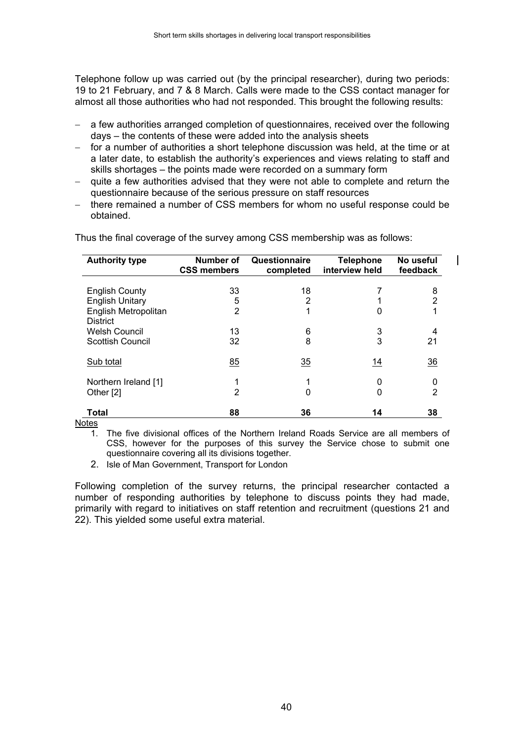Telephone follow up was carried out (by the principal researcher), during two periods: 19 to 21 February, and 7 & 8 March. Calls were made to the CSS contact manager for almost all those authorities who had not responded. This brought the following results:

- a few authorities arranged completion of questionnaires, received over the following days – the contents of these were added into the analysis sheets
- for a number of authorities a short telephone discussion was held, at the time or at a later date, to establish the authority's experiences and views relating to staff and skills shortages – the points made were recorded on a summary form
- quite a few authorities advised that they were not able to complete and return the questionnaire because of the serious pressure on staff resources
- − there remained a number of CSS members for whom no useful response could be obtained.

| <b>Authority type</b>                   | Number of<br><b>CSS members</b> | Questionnaire<br>completed | <b>Telephone</b><br>interview held | No useful<br>feedback |
|-----------------------------------------|---------------------------------|----------------------------|------------------------------------|-----------------------|
| <b>English County</b>                   | 33                              | 18                         |                                    | 8                     |
| <b>English Unitary</b>                  | 5                               | 2                          |                                    | 2                     |
| English Metropolitan<br><b>District</b> | $\overline{2}$                  | 1                          | 0                                  |                       |
| <b>Welsh Council</b>                    | 13                              | 6                          | 3                                  |                       |
| <b>Scottish Council</b>                 | 32                              | 8                          | 3                                  | 21                    |
| Sub total                               | 85                              | 35                         | 14                                 | $\overline{36}$       |
| Northern Ireland [1]<br>Other [2]       | 2                               | 1<br>0                     | 0<br>0                             | 0<br>2                |
| Total                                   | 88                              | 36                         | 14                                 | 38                    |

Thus the final coverage of the survey among CSS membership was as follows:

#### **Notes**

1. The five divisional offices of the Northern Ireland Roads Service are all members of CSS, however for the purposes of this survey the Service chose to submit one questionnaire covering all its divisions together.

2. Isle of Man Government, Transport for London

Following completion of the survey returns, the principal researcher contacted a number of responding authorities by telephone to discuss points they had made, primarily with regard to initiatives on staff retention and recruitment (questions 21 and 22). This yielded some useful extra material.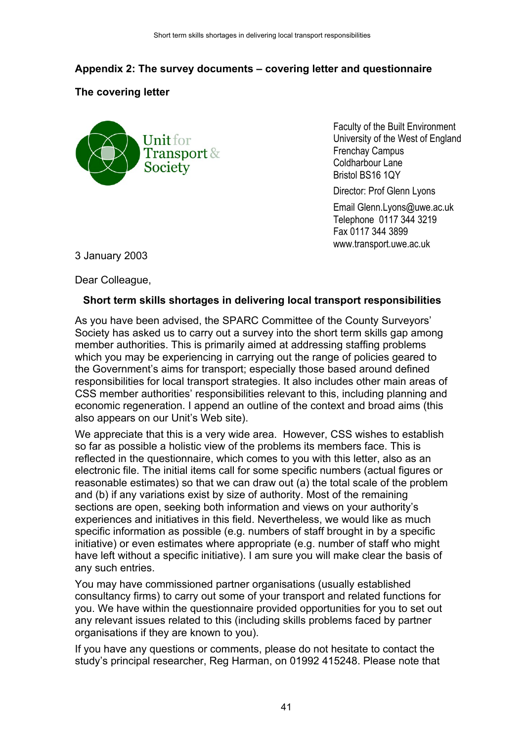# **Appendix 2: The survey documents – covering letter and questionnaire**

# **The covering letter**



Faculty of the Built Environment University of the West of England Frenchay Campus Coldharbour Lane Bristol BS16 1QY

Director: Prof Glenn Lyons

Email Glenn.Lyons@uwe.ac.uk Telephone 0117 344 3219 Fax 0117 344 3899 www.transport.uwe.ac.uk

3 January 2003

Dear Colleague,

# **Short term skills shortages in delivering local transport responsibilities**

As you have been advised, the SPARC Committee of the County Surveyors' Society has asked us to carry out a survey into the short term skills gap among member authorities. This is primarily aimed at addressing staffing problems which you may be experiencing in carrying out the range of policies geared to the Government's aims for transport; especially those based around defined responsibilities for local transport strategies. It also includes other main areas of CSS member authorities' responsibilities relevant to this, including planning and economic regeneration. I append an outline of the context and broad aims (this also appears on our Unit's Web site).

We appreciate that this is a very wide area. However, CSS wishes to establish so far as possible a holistic view of the problems its members face. This is reflected in the questionnaire, which comes to you with this letter, also as an electronic file. The initial items call for some specific numbers (actual figures or reasonable estimates) so that we can draw out (a) the total scale of the problem and (b) if any variations exist by size of authority. Most of the remaining sections are open, seeking both information and views on your authority's experiences and initiatives in this field. Nevertheless, we would like as much specific information as possible (e.g. numbers of staff brought in by a specific initiative) or even estimates where appropriate (e.g. number of staff who might have left without a specific initiative). I am sure you will make clear the basis of any such entries.

You may have commissioned partner organisations (usually established consultancy firms) to carry out some of your transport and related functions for you. We have within the questionnaire provided opportunities for you to set out any relevant issues related to this (including skills problems faced by partner organisations if they are known to you).

If you have any questions or comments, please do not hesitate to contact the study's principal researcher, Reg Harman, on 01992 415248. Please note that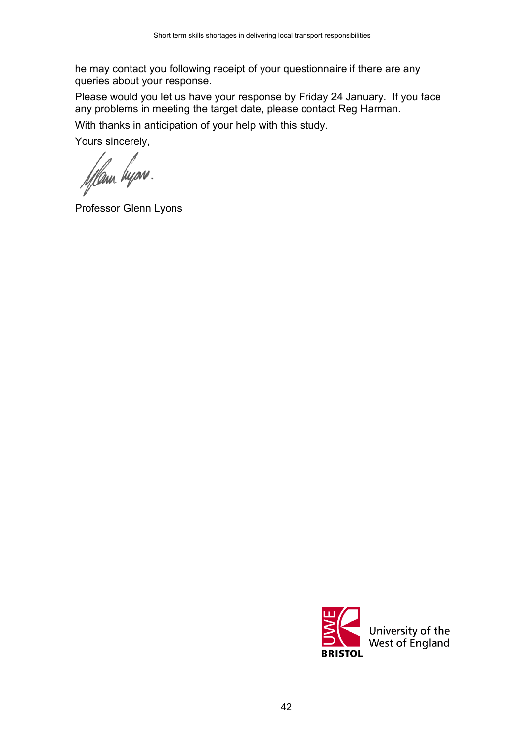he may contact you following receipt of your questionnaire if there are any queries about your response.

Please would you let us have your response by Friday 24 January. If you face any problems in meeting the target date, please contact Reg Harman. With thanks in anticipation of your help with this study.

Yours sincerely,

fflam byon.

Professor Glenn Lyons

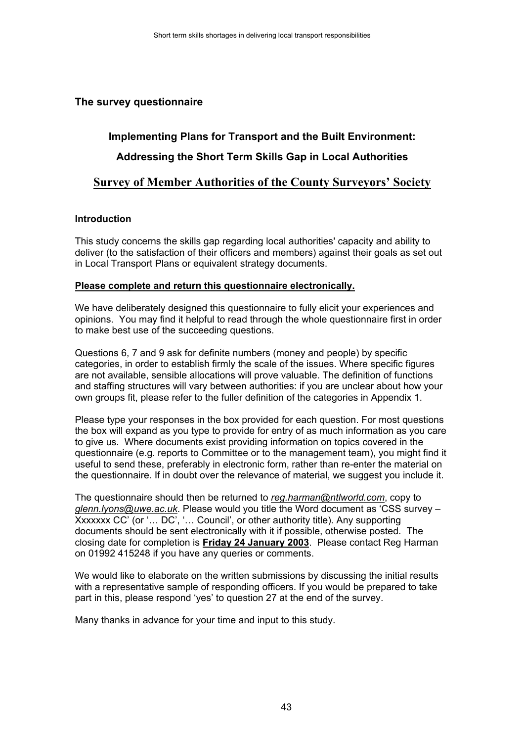# **The survey questionnaire**

# **Implementing Plans for Transport and the Built Environment: Addressing the Short Term Skills Gap in Local Authorities**

# **Survey of Member Authorities of the County Surveyors' Society**

#### **Introduction**

This study concerns the skills gap regarding local authorities' capacity and ability to deliver (to the satisfaction of their officers and members) against their goals as set out in Local Transport Plans or equivalent strategy documents.

#### **Please complete and return this questionnaire electronically.**

We have deliberately designed this questionnaire to fully elicit your experiences and opinions. You may find it helpful to read through the whole questionnaire first in order to make best use of the succeeding questions.

Questions 6, 7 and 9 ask for definite numbers (money and people) by specific categories, in order to establish firmly the scale of the issues. Where specific figures are not available, sensible allocations will prove valuable. The definition of functions and staffing structures will vary between authorities: if you are unclear about how your own groups fit, please refer to the fuller definition of the categories in Appendix 1.

Please type your responses in the box provided for each question. For most questions the box will expand as you type to provide for entry of as much information as you care to give us. Where documents exist providing information on topics covered in the questionnaire (e.g. reports to Committee or to the management team), you might find it useful to send these, preferably in electronic form, rather than re-enter the material on the questionnaire. If in doubt over the relevance of material, we suggest you include it.

The questionnaire should then be returned to *reg.harman@ntlworld.com*, copy to *glenn.lyons@uwe.ac.uk*. Please would you title the Word document as 'CSS survey – Xxxxxxx CC' (or '... DC', '... Council', or other authority title). Any supporting documents should be sent electronically with it if possible, otherwise posted. The closing date for completion is **Friday 24 January 2003**. Please contact Reg Harman on 01992 415248 if you have any queries or comments.

We would like to elaborate on the written submissions by discussing the initial results with a representative sample of responding officers. If you would be prepared to take part in this, please respond 'yes' to question 27 at the end of the survey.

Many thanks in advance for your time and input to this study.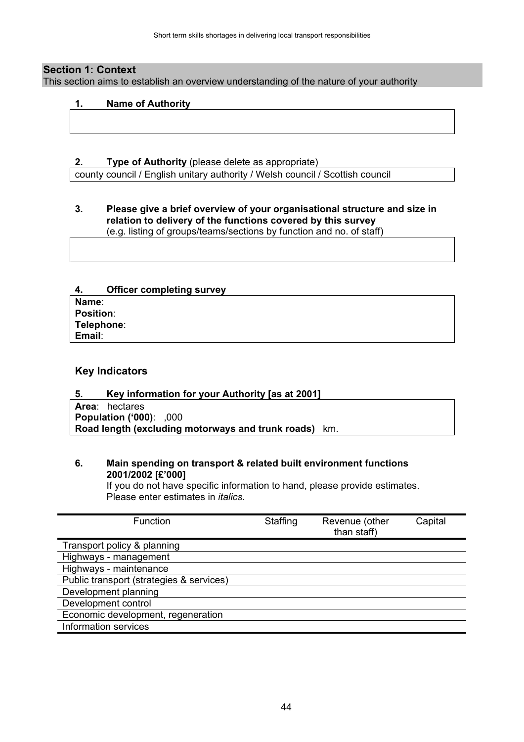#### **Section 1: Context**

This section aims to establish an overview understanding of the nature of your authority

#### **1. Name of Authority**

#### **2. Type of Authority** (please delete as appropriate)

county council / English unitary authority / Welsh council / Scottish council

#### **3. Please give a brief overview of your organisational structure and size in relation to delivery of the functions covered by this survey** (e.g. listing of groups/teams/sections by function and no. of staff)

#### **4. Officer completing survey**

| Name:            |  |
|------------------|--|
| <b>Position:</b> |  |
| Telephone:       |  |
| Email:           |  |

#### **Key Indicators**

#### **5. Key information for your Authority [as at 2001]**

**Area**: hectares **Population ('000)**: ,000 **Road length (excluding motorways and trunk roads)** km.

#### **6. Main spending on transport & related built environment functions 2001/2002 [£'000]**

If you do not have specific information to hand, please provide estimates. Please enter estimates in *italics*.

| <b>Function</b>                          | Staffing | Revenue (other<br>than staff) | Capital |
|------------------------------------------|----------|-------------------------------|---------|
| Transport policy & planning              |          |                               |         |
| Highways - management                    |          |                               |         |
| Highways - maintenance                   |          |                               |         |
| Public transport (strategies & services) |          |                               |         |
| Development planning                     |          |                               |         |
| Development control                      |          |                               |         |
| Economic development, regeneration       |          |                               |         |
| Information services                     |          |                               |         |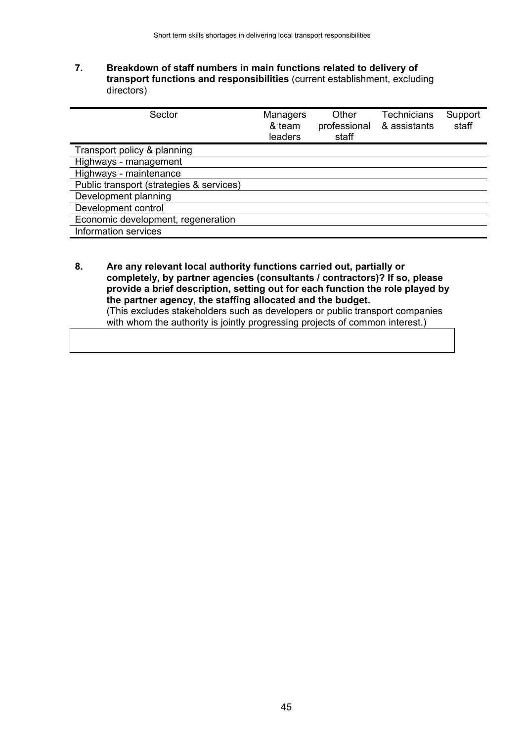#### **7. Breakdown of staff numbers in main functions related to delivery of transport functions and responsibilities** (current establishment, excluding directors)

| Managers<br>& team<br>leaders | Other<br>professional<br>staff | <b>Technicians</b><br>& assistants | Support<br>staff |
|-------------------------------|--------------------------------|------------------------------------|------------------|
|                               |                                |                                    |                  |
|                               |                                |                                    |                  |
|                               |                                |                                    |                  |
|                               |                                |                                    |                  |
|                               |                                |                                    |                  |
|                               |                                |                                    |                  |
|                               |                                |                                    |                  |
|                               |                                |                                    |                  |
|                               |                                |                                    |                  |

**8. Are any relevant local authority functions carried out, partially or completely, by partner agencies (consultants / contractors)? If so, please provide a brief description, setting out for each function the role played by the partner agency, the staffing allocated and the budget.** (This excludes stakeholders such as developers or public transport companies with whom the authority is jointly progressing projects of common interest.)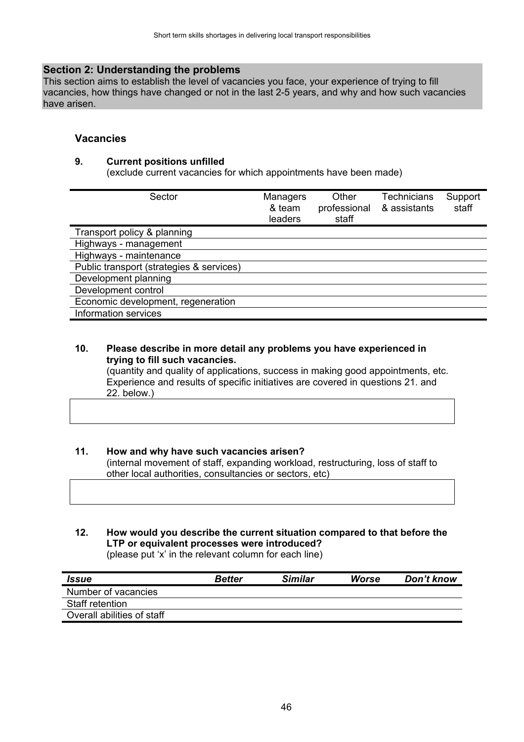#### **Section 2: Understanding the problems**

This section aims to establish the level of vacancies you face, your experience of trying to fill vacancies, how things have changed or not in the last 2-5 years, and why and how such vacancies have arisen.

#### **Vacancies**

#### **9. Current positions unfilled**

(exclude current vacancies for which appointments have been made)

| Sector                                   | <b>Managers</b><br>& team<br>leaders | Other<br>professional<br>staff | <b>Technicians</b><br>& assistants | Support<br>staff |
|------------------------------------------|--------------------------------------|--------------------------------|------------------------------------|------------------|
| Transport policy & planning              |                                      |                                |                                    |                  |
| Highways - management                    |                                      |                                |                                    |                  |
| Highways - maintenance                   |                                      |                                |                                    |                  |
| Public transport (strategies & services) |                                      |                                |                                    |                  |
| Development planning                     |                                      |                                |                                    |                  |
| Development control                      |                                      |                                |                                    |                  |
| Economic development, regeneration       |                                      |                                |                                    |                  |
| Information services                     |                                      |                                |                                    |                  |

#### **10. Please describe in more detail any problems you have experienced in trying to fill such vacancies.**

(quantity and quality of applications, success in making good appointments, etc. Experience and results of specific initiatives are covered in questions 21. and 22. below.)

#### **11. How and why have such vacancies arisen?**

(internal movement of staff, expanding workload, restructuring, loss of staff to other local authorities, consultancies or sectors, etc)

#### **12. How would you describe the current situation compared to that before the LTP or equivalent processes were introduced?** (please put 'x' in the relevant column for each line)

*Issue Better Similar Worse Don't know* Number of vacancies Staff retention Overall abilities of staff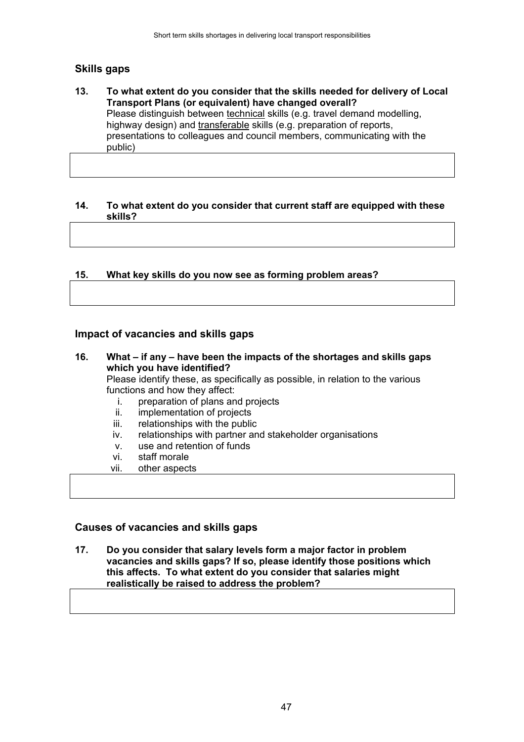# **Skills gaps**

**13. To what extent do you consider that the skills needed for delivery of Local Transport Plans (or equivalent) have changed overall?** Please distinguish between technical skills (e.g. travel demand modelling, highway design) and transferable skills (e.g. preparation of reports, presentations to colleagues and council members, communicating with the public)

#### **14. To what extent do you consider that current staff are equipped with these skills?**

### **15. What key skills do you now see as forming problem areas?**

#### **Impact of vacancies and skills gaps**

- **16. What if any have been the impacts of the shortages and skills gaps which you have identified?** Please identify these, as specifically as possible, in relation to the various functions and how they affect: i. preparation of plans and projects ii. implementation of projects
	- iii. relationships with the public
	- iv. relationships with partner and stakeholder organisations
	- v. use and retention of funds
	- vi. staff morale
	- vii. other aspects

#### **Causes of vacancies and skills gaps**

**17. Do you consider that salary levels form a major factor in problem vacancies and skills gaps? If so, please identify those positions which this affects. To what extent do you consider that salaries might realistically be raised to address the problem?**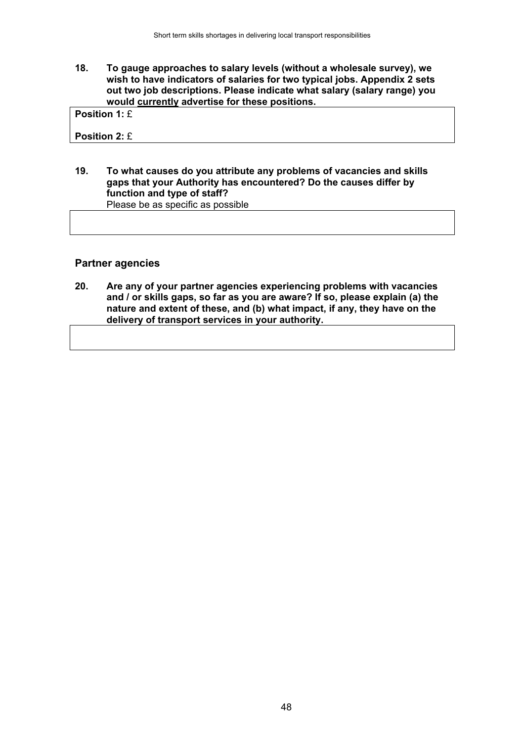**18. To gauge approaches to salary levels (without a wholesale survey), we wish to have indicators of salaries for two typical jobs. Appendix 2 sets out two job descriptions. Please indicate what salary (salary range) you would currently advertise for these positions.**

**Position 1:** £

**Position 2:** £

#### **19. To what causes do you attribute any problems of vacancies and skills gaps that your Authority has encountered? Do the causes differ by function and type of staff?** Please be as specific as possible

#### **Partner agencies**

**20. Are any of your partner agencies experiencing problems with vacancies and / or skills gaps, so far as you are aware? If so, please explain (a) the nature and extent of these, and (b) what impact, if any, they have on the delivery of transport services in your authority.**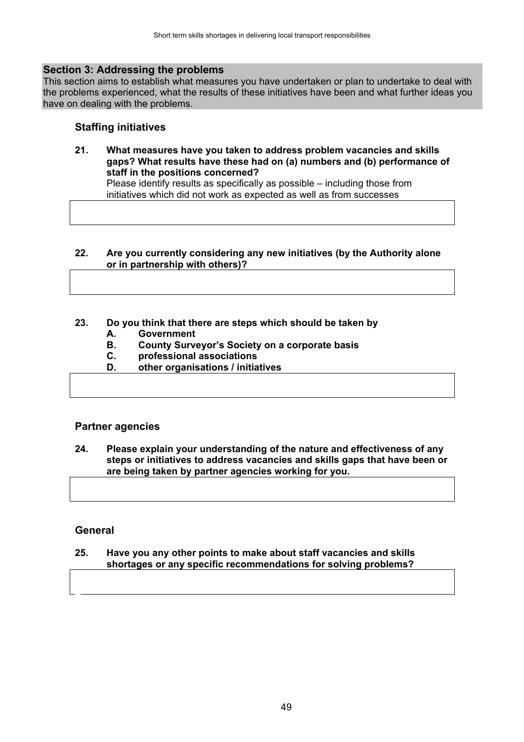#### **Section 3: Addressing the problems**

This section aims to establish what measures you have undertaken or plan to undertake to deal with the problems experienced, what the results of these initiatives have been and what further ideas you have on dealing with the problems.

## **Staffing initiatives**

**21. What measures have you taken to address problem vacancies and skills gaps? What results have these had on (a) numbers and (b) performance of staff in the positions concerned?**

Please identify results as specifically as possible – including those from initiatives which did not work as expected as well as from successes

#### **22. Are you currently considering any new initiatives (by the Authority alone or in partnership with others)?**

### **23. Do you think that there are steps which should be taken by**

- **A. Government**
- **B. County Surveyor's Society on a corporate basis**
- **C. professional associations**
- **D. other organisations / initiatives**

### **Partner agencies**

**24. Please explain your understanding of the nature and effectiveness of any steps or initiatives to address vacancies and skills gaps that have been or are being taken by partner agencies working for you.**

#### **General**

#### **25. Have you any other points to make about staff vacancies and skills shortages or any specific recommendations for solving problems?**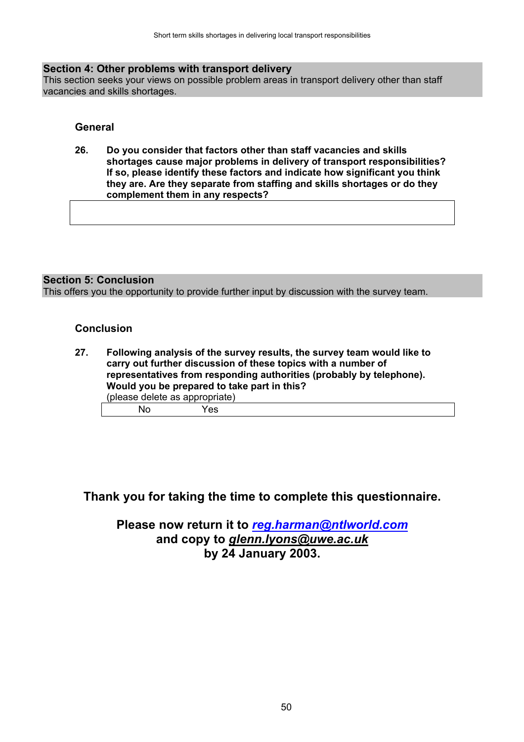#### **Section 4: Other problems with transport delivery**

This section seeks your views on possible problem areas in transport delivery other than staff vacancies and skills shortages.

#### **General**

**26. Do you consider that factors other than staff vacancies and skills shortages cause major problems in delivery of transport responsibilities? If so, please identify these factors and indicate how significant you think they are. Are they separate from staffing and skills shortages or do they complement them in any respects?**

#### **Section 5: Conclusion**

This offers you the opportunity to provide further input by discussion with the survey team.

#### **Conclusion**

| 27. | (please delete as appropriate) | Following analysis of the survey results, the survey team would like to<br>carry out further discussion of these topics with a number of<br>representatives from responding authorities (probably by telephone).<br>Would you be prepared to take part in this? |  |
|-----|--------------------------------|-----------------------------------------------------------------------------------------------------------------------------------------------------------------------------------------------------------------------------------------------------------------|--|
|     | Nο                             | Yes.                                                                                                                                                                                                                                                            |  |

# **Thank you for taking the time to complete this questionnaire.**

# **Please now return it to** *reg.harman@ntlworld.com* **and copy to** *glenn.lyons@uwe.ac.uk* **by 24 January 2003.**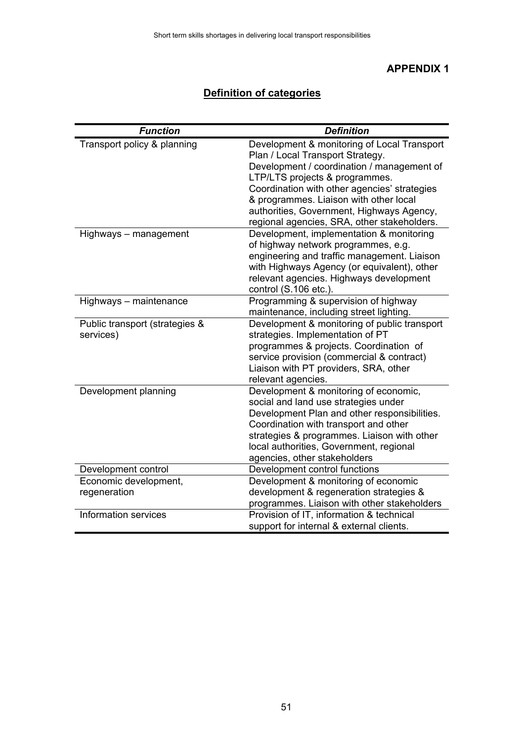# **APPENDIX 1**

# **Definition of categories**

| <b>Function</b>                | <b>Definition</b>                                                                |
|--------------------------------|----------------------------------------------------------------------------------|
| Transport policy & planning    | Development & monitoring of Local Transport                                      |
|                                | Plan / Local Transport Strategy.                                                 |
|                                | Development / coordination / management of                                       |
|                                | LTP/LTS projects & programmes.                                                   |
|                                | Coordination with other agencies' strategies                                     |
|                                | & programmes. Liaison with other local                                           |
|                                | authorities, Government, Highways Agency,                                        |
|                                | regional agencies, SRA, other stakeholders.                                      |
| Highways - management          | Development, implementation & monitoring                                         |
|                                | of highway network programmes, e.g.                                              |
|                                | engineering and traffic management. Liaison                                      |
|                                | with Highways Agency (or equivalent), other                                      |
|                                | relevant agencies. Highways development                                          |
|                                | control (S.106 etc.).                                                            |
| Highways - maintenance         | Programming & supervision of highway                                             |
|                                | maintenance, including street lighting.                                          |
| Public transport (strategies & | Development & monitoring of public transport<br>strategies. Implementation of PT |
| services)                      | programmes & projects. Coordination of                                           |
|                                | service provision (commercial & contract)                                        |
|                                | Liaison with PT providers, SRA, other                                            |
|                                | relevant agencies.                                                               |
| Development planning           | Development & monitoring of economic,                                            |
|                                | social and land use strategies under                                             |
|                                | Development Plan and other responsibilities.                                     |
|                                | Coordination with transport and other                                            |
|                                | strategies & programmes. Liaison with other                                      |
|                                | local authorities, Government, regional                                          |
|                                | agencies, other stakeholders                                                     |
| Development control            | Development control functions                                                    |
| Economic development,          | Development & monitoring of economic                                             |
| regeneration                   | development & regeneration strategies &                                          |
|                                | programmes. Liaison with other stakeholders                                      |
| Information services           | Provision of IT, information & technical                                         |
|                                | support for internal & external clients.                                         |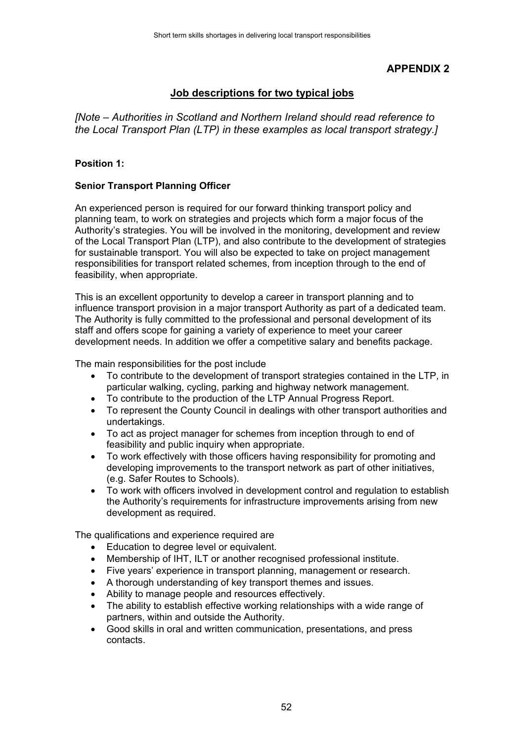# **APPENDIX 2**

# **Job descriptions for two typical jobs**

*[Note – Authorities in Scotland and Northern Ireland should read reference to the Local Transport Plan (LTP) in these examples as local transport strategy.]*

#### **Position 1:**

#### **Senior Transport Planning Officer**

An experienced person is required for our forward thinking transport policy and planning team, to work on strategies and projects which form a major focus of the Authority's strategies. You will be involved in the monitoring, development and review of the Local Transport Plan (LTP), and also contribute to the development of strategies for sustainable transport. You will also be expected to take on project management responsibilities for transport related schemes, from inception through to the end of feasibility, when appropriate.

This is an excellent opportunity to develop a career in transport planning and to influence transport provision in a major transport Authority as part of a dedicated team. The Authority is fully committed to the professional and personal development of its staff and offers scope for gaining a variety of experience to meet your career development needs. In addition we offer a competitive salary and benefits package.

The main responsibilities for the post include

- To contribute to the development of transport strategies contained in the LTP, in particular walking, cycling, parking and highway network management.
- To contribute to the production of the LTP Annual Progress Report.
- To represent the County Council in dealings with other transport authorities and undertakings.
- To act as project manager for schemes from inception through to end of feasibility and public inquiry when appropriate.
- To work effectively with those officers having responsibility for promoting and developing improvements to the transport network as part of other initiatives, (e.g. Safer Routes to Schools).
- To work with officers involved in development control and regulation to establish the Authority's requirements for infrastructure improvements arising from new development as required.

The qualifications and experience required are

- Education to degree level or equivalent.
- Membership of IHT, ILT or another recognised professional institute.
- Five years' experience in transport planning, management or research.
- A thorough understanding of key transport themes and issues.
- Ability to manage people and resources effectively.
- The ability to establish effective working relationships with a wide range of partners, within and outside the Authority.
- Good skills in oral and written communication, presentations, and press contacts.